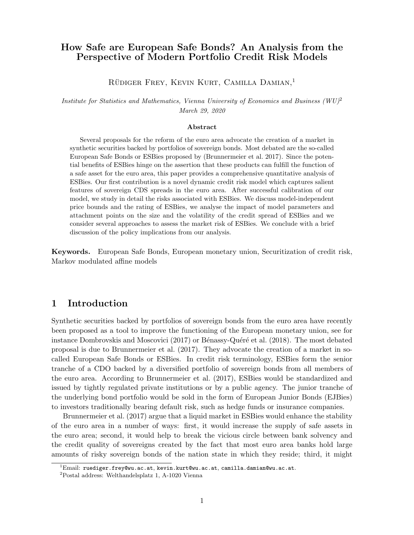## How Safe are European Safe Bonds? An Analysis from the Perspective of Modern Portfolio Credit Risk Models

RÜDIGER FREY, KEVIN KURT, CAMILLA DAMIAN.<sup>1</sup>

Institute for Statistics and Mathematics, Vienna University of Economics and Business  $(WU)^2$ March 29, 2020

#### Abstract

Several proposals for the reform of the euro area advocate the creation of a market in synthetic securities backed by portfolios of sovereign bonds. Most debated are the so-called European Safe Bonds or ESBies proposed by (Brunnermeier et al. 2017). Since the potential benefits of ESBies hinge on the assertion that these products can fulfill the function of a safe asset for the euro area, this paper provides a comprehensive quantitative analysis of ESBies. Our first contribution is a novel dynamic credit risk model which captures salient features of sovereign CDS spreads in the euro area. After successful calibration of our model, we study in detail the risks associated with ESBies. We discuss model-independent price bounds and the rating of ESBies, we analyse the impact of model parameters and attachment points on the size and the volatility of the credit spread of ESBies and we consider several approaches to assess the market risk of ESBies. We conclude with a brief discussion of the policy implications from our analysis.

Keywords. European Safe Bonds, European monetary union, Securitization of credit risk, Markov modulated affine models

## 1 Introduction

Synthetic securities backed by portfolios of sovereign bonds from the euro area have recently been proposed as a tool to improve the functioning of the European monetary union, see for instance Dombrovskis and Moscovici (2017) or Bénassy-Quéré et al. (2018). The most debated proposal is due to Brunnermeier et al. (2017). They advocate the creation of a market in socalled European Safe Bonds or ESBies. In credit risk terminology, ESBies form the senior tranche of a CDO backed by a diversified portfolio of sovereign bonds from all members of the euro area. According to Brunnermeier et al. (2017), ESBies would be standardized and issued by tightly regulated private institutions or by a public agency. The junior tranche of the underlying bond portfolio would be sold in the form of European Junior Bonds (EJBies) to investors traditionally bearing default risk, such as hedge funds or insurance companies.

Brunnermeier et al. (2017) argue that a liquid market in ESBies would enhance the stability of the euro area in a number of ways: first, it would increase the supply of safe assets in the euro area; second, it would help to break the vicious circle between bank solvency and the credit quality of sovereigns created by the fact that most euro area banks hold large amounts of risky sovereign bonds of the nation state in which they reside; third, it might

 $^{1}$ Email: ruediger.frey@wu.ac.at, kevin.kurt@wu.ac.at, camilla.damian@wu.ac.at.

<sup>2</sup>Postal address: Welthandelsplatz 1, A-1020 Vienna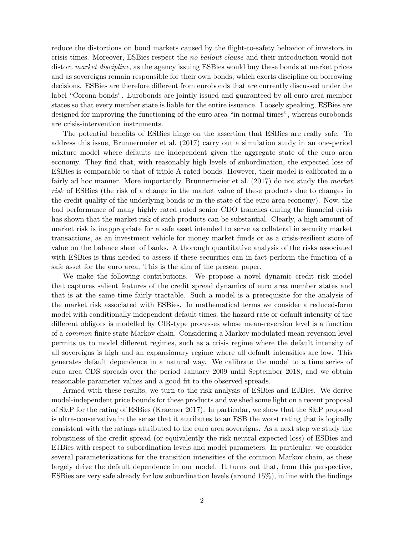reduce the distortions on bond markets caused by the flight-to-safety behavior of investors in crisis times. Moreover, ESBies respect the no-bailout clause and their introduction would not distort *market discipline*, as the agency issuing ESBies would buy these bonds at market prices and as sovereigns remain responsible for their own bonds, which exerts discipline on borrowing decisions. ESBies are therefore different from eurobonds that are currently discussed under the label "Corona bonds". Eurobonds are jointly issued and guaranteed by all euro area member states so that every member state is liable for the entire issuance. Loosely speaking, ESBies are designed for improving the functioning of the euro area "in normal times", whereas eurobonds are crisis-intervention instruments.

The potential benefits of ESBies hinge on the assertion that ESBies are really safe. To address this issue, Brunnermeier et al. (2017) carry out a simulation study in an one-period mixture model where defaults are independent given the aggregate state of the euro area economy. They find that, with reasonably high levels of subordination, the expected loss of ESBies is comparable to that of triple-A rated bonds. However, their model is calibrated in a fairly ad hoc manner. More importantly, Brunnermeier et al. (2017) do not study the market risk of ESBies (the risk of a change in the market value of these products due to changes in the credit quality of the underlying bonds or in the state of the euro area economy). Now, the bad performance of many highly rated rated senior CDO tranches during the financial crisis has shown that the market risk of such products can be substantial. Clearly, a high amount of market risk is inappropriate for a safe asset intended to serve as collateral in security market transactions, as an investment vehicle for money market funds or as a crisis-resilient store of value on the balance sheet of banks. A thorough quantitative analysis of the risks associated with ESBies is thus needed to assess if these securities can in fact perform the function of a safe asset for the euro area. This is the aim of the present paper.

We make the following contributions. We propose a novel dynamic credit risk model that captures salient features of the credit spread dynamics of euro area member states and that is at the same time fairly tractable. Such a model is a prerequisite for the analysis of the market risk associated with ESBies. In mathematical terms we consider a reduced-form model with conditionally independent default times; the hazard rate or default intensity of the different obligors is modelled by CIR-type processes whose mean-reversion level is a function of a common finite state Markov chain. Considering a Markov modulated mean-reversion level permits us to model different regimes, such as a crisis regime where the default intensity of all sovereigns is high and an expansionary regime where all default intensities are low. This generates default dependence in a natural way. We calibrate the model to a time series of euro area CDS spreads over the period January 2009 until September 2018, and we obtain reasonable parameter values and a good fit to the observed spreads.

Armed with these results, we turn to the risk analysis of ESBies and EJBies. We derive model-independent price bounds for these products and we shed some light on a recent proposal of S&P for the rating of ESBies (Kraemer 2017). In particular, we show that the S&P proposal is ultra-conservative in the sense that it attributes to an ESB the worst rating that is logically consistent with the ratings attributed to the euro area sovereigns. As a next step we study the robustness of the credit spread (or equivalently the risk-neutral expected loss) of ESBies and EJBies with respect to subordination levels and model parameters. In particular, we consider several parameterizations for the transition intensities of the common Markov chain, as these largely drive the default dependence in our model. It turns out that, from this perspective, ESBies are very safe already for low subordination levels (around 15%), in line with the findings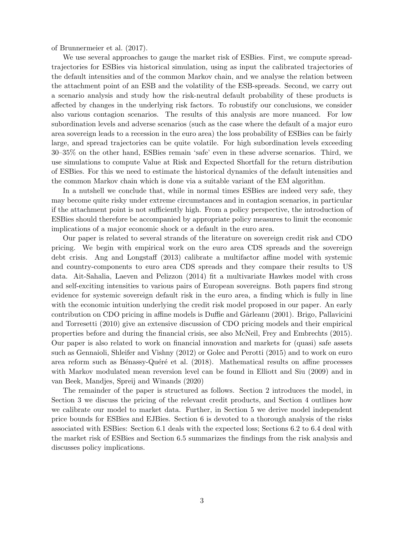of Brunnermeier et al. (2017).

We use several approaches to gauge the market risk of ESBies. First, we compute spreadtrajectories for ESBies via historical simulation, using as input the calibrated trajectories of the default intensities and of the common Markov chain, and we analyse the relation between the attachment point of an ESB and the volatility of the ESB-spreads. Second, we carry out a scenario analysis and study how the risk-neutral default probability of these products is affected by changes in the underlying risk factors. To robustify our conclusions, we consider also various contagion scenarios. The results of this analysis are more nuanced. For low subordination levels and adverse scenarios (such as the case where the default of a major euro area sovereign leads to a recession in the euro area) the loss probability of ESBies can be fairly large, and spread trajectories can be quite volatile. For high subordination levels exceeding 30–35% on the other hand, ESBies remain 'safe' even in these adverse scenarios. Third, we use simulations to compute Value at Risk and Expected Shortfall for the return distribution of ESBies. For this we need to estimate the historical dynamics of the default intensities and the common Markov chain which is done via a suitable variant of the EM algorithm.

In a nutshell we conclude that, while in normal times ESBies are indeed very safe, they may become quite risky under extreme circumstances and in contagion scenarios, in particular if the attachment point is not sufficiently high. From a policy perspective, the introduction of ESBies should therefore be accompanied by appropriate policy measures to limit the economic implications of a major economic shock or a default in the euro area.

Our paper is related to several strands of the literature on sovereign credit risk and CDO pricing. We begin with empirical work on the euro area CDS spreads and the sovereign debt crisis. Ang and Longstaff (2013) calibrate a multifactor affine model with systemic and country-components to euro area CDS spreads and they compare their results to US data. Ait-Sahalia, Laeven and Pelizzon (2014) fit a multivariate Hawkes model with cross and self-exciting intensities to various pairs of European sovereigns. Both papers find strong evidence for systemic sovereign default risk in the euro area, a finding which is fully in line with the economic intuition underlying the credit risk model proposed in our paper. An early contribution on CDO pricing in affine models is Duffie and Gârleanu (2001). Brigo, Pallavicini and Torresetti (2010) give an extensive discussion of CDO pricing models and their empirical properties before and during the financial crisis, see also McNeil, Frey and Embrechts (2015). Our paper is also related to work on financial innovation and markets for (quasi) safe assets such as Gennaioli, Shleifer and Vishny (2012) or Golec and Perotti (2015) and to work on euro area reform such as Bénassy-Quéré et al. (2018). Mathematical results on affine processes with Markov modulated mean reversion level can be found in Elliott and Siu (2009) and in van Beek, Mandjes, Spreij and Winands (2020)

The remainder of the paper is structured as follows. Section 2 introduces the model, in Section 3 we discuss the pricing of the relevant credit products, and Section 4 outlines how we calibrate our model to market data. Further, in Section 5 we derive model independent price bounds for ESBies and EJBies. Section 6 is devoted to a thorough analysis of the risks associated with ESBies: Section 6.1 deals with the expected loss; Sections 6.2 to 6.4 deal with the market risk of ESBies and Section 6.5 summarizes the findings from the risk analysis and discusses policy implications.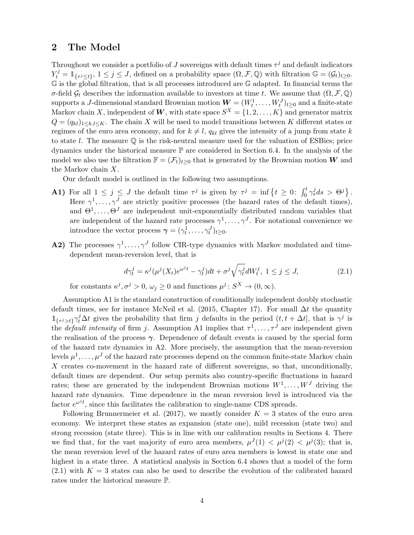## 2 The Model

Throughout we consider a portfolio of J sovereigns with default times  $\tau^j$  and default indicators  $Y_t^j = \mathbb{1}_{\{\tau^j \leq t\}}, 1 \leq j \leq J$ , defined on a probability space  $(\Omega, \mathcal{F}, \mathbb{Q})$  with filtration  $\mathbb{G} = (\mathcal{G}_t)_{t \geq 0}$ . G is the global filtration, that is all processes introduced are G adapted. In financial terms the σ-field  $\mathcal{G}_t$  describes the information available to investors at time t. We assume that  $(\Omega, \mathcal{F}, \mathbb{Q})$ supports a J-dimensional standard Brownian motion  $\boldsymbol{W} = (W_t^1, \dots, W_t^J)_{t \geq 0}$  and a finite-state Markov chain X, independent of W, with state space  $S^X = \{1, 2, ..., K\}$  and generator matrix  $Q = (q_{kl})_{1 \leq k,l \leq K}$ . The chain X will be used to model transitions between K different states or regimes of the euro area economy, and for  $k \neq l$ ,  $q_{kl}$  gives the intensity of a jump from state k to state l. The measure  $\mathbb Q$  is the risk-neutral measure used for the valuation of ESBies; price dynamics under the historical measure P are considered in Section 6.4. In the analysis of the model we also use the filtration  $\mathbb{F} = (\mathcal{F}_t)_{t\geq 0}$  that is generated by the Brownian motion W and the Markov chain X.

Our default model is outlined in the following two assumptions.

- **A1)** For all  $1 \leq j \leq J$  the default time  $\tau^j$  is given by  $\tau^j = \inf \{ t \geq 0 : \int_0^t \gamma_s^j ds > \Theta^j \}.$ Here  $\gamma^1, \ldots, \gamma^J$  are strictly positive processes (the hazard rates of the default times), and  $\Theta^1, \ldots, \Theta^J$  are independent unit-exponentially distributed random variables that are independent of the hazard rate processes  $\gamma^1, \ldots, \gamma^J$ . For notational convenience we introduce the vector process  $\boldsymbol{\gamma} = (\gamma_t^1, \dots, \gamma_t^J)_{t \geq 0}$ .
- **A2)** The processes  $\gamma^1, \ldots, \gamma^J$  follow CIR-type dynamics with Markov modulated and timedependent mean-reversion level, that is

$$
d\gamma_t^j = \kappa^j(\mu^j(X_t)e^{\omega^jt} - \gamma_t^j)dt + \sigma^j\sqrt{\gamma_t^j}dW_t^j, \ 1 \le j \le J,
$$
\n(2.1)

for constants  $\kappa^j, \sigma^j > 0$ ,  $\omega_j \geq 0$  and functions  $\mu^j : S^X \to (0, \infty)$ .

Assumption A1 is the standard construction of conditionally independent doubly stochastic default times, see for instance McNeil et al. (2015, Chapter 17). For small  $\Delta t$  the quantity  $\mathbb{1}_{\{\tau^j>t\}}\gamma_t^j\Delta t$  gives the probability that firm j defaults in the period  $(t, t + \Delta t]$ , that is  $\gamma^j$  is the *default intensity* of firm j. Assumption A1 implies that  $\tau^1, \ldots, \tau^J$  are independent given the realisation of the process  $\gamma$ . Dependence of default events is caused by the special form of the hazard rate dynamics in A2. More precisely, the assumption that the mean-reversion levels  $\mu^1, \ldots, \mu^J$  of the hazard rate processes depend on the common finite-state Markov chain  $X$  creates co-movement in the hazard rate of different sovereigns, so that, unconditionally, default times are dependent. Our setup permits also country-specific fluctuations in hazard rates; these are generated by the independent Brownian motions  $W^1, \ldots, W^J$  driving the hazard rate dynamics. Time dependence in the mean reversion level is introduced via the factor  $e^{\omega^j t}$ , since this facilitates the calibration to single-name CDS spreads.

Following Brunnermeier et al. (2017), we mostly consider  $K = 3$  states of the euro area economy. We interpret these states as expansion (state one), mild recession (state two) and strong recession (state three). This is in line with our calibration results in Sections 4. There we find that, for the vast majority of euro area members,  $\mu^{J}(1) < \mu^{j}(2) < \mu^{j}(3)$ ; that is, the mean reversion level of the hazard rates of euro area members is lowest in state one and highest in a state three. A statistical analysis in Section 6.4 shows that a model of the form  $(2.1)$  with  $K = 3$  states can also be used to describe the evolution of the calibrated hazard rates under the historical measure P.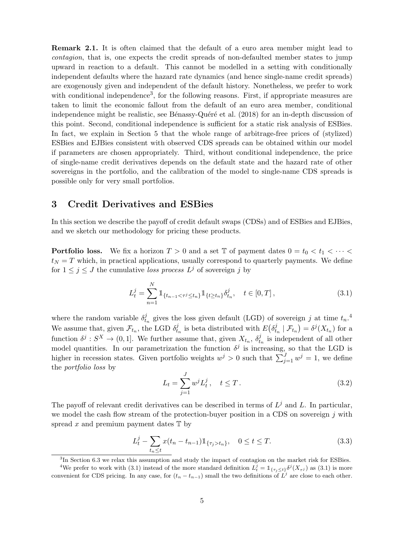Remark 2.1. It is often claimed that the default of a euro area member might lead to contagion, that is, one expects the credit spreads of non-defaulted member states to jump upward in reaction to a default. This cannot be modelled in a setting with conditionally independent defaults where the hazard rate dynamics (and hence single-name credit spreads) are exogenously given and independent of the default history. Nonetheless, we prefer to work with conditional independence<sup>3</sup>, for the following reasons. First, if appropriate measures are taken to limit the economic fallout from the default of an euro area member, conditional independence might be realistic, see Bénassy-Quéré et al.  $(2018)$  for an in-depth discussion of this point. Second, conditional independence is sufficient for a static risk analysis of ESBies. In fact, we explain in Section 5 that the whole range of arbitrage-free prices of (stylized) ESBies and EJBies consistent with observed CDS spreads can be obtained within our model if parameters are chosen appropriately. Third, without conditional independence, the price of single-name credit derivatives depends on the default state and the hazard rate of other sovereigns in the portfolio, and the calibration of the model to single-name CDS spreads is possible only for very small portfolios.

## 3 Credit Derivatives and ESBies

In this section we describe the payoff of credit default swaps (CDSs) and of ESBies and EJBies, and we sketch our methodology for pricing these products.

**Portfolio loss.** We fix a horizon  $T > 0$  and a set T of payment dates  $0 = t_0 < t_1 < \cdots <$  $t_N = T$  which, in practical applications, usually correspond to quarterly payments. We define for  $1 \leq j \leq J$  the cumulative loss process  $L^j$  of sovereign j by

$$
L_t^j = \sum_{n=1}^N \mathbb{1}_{\{t_{n-1} < \tau^j \le t_n\}} \mathbb{1}_{\{t \ge t_n\}} \delta_{t_n}^j, \quad t \in [0, T], \tag{3.1}
$$

where the random variable  $\delta_t^j$  $t_{t_n}$  gives the loss given default (LGD) of sovereign j at time  $t_n$ .<sup>4</sup> We assume that, given  $\mathcal{F}_{t_n}$ , the LGD  $\delta_t^j$  $t_n$  is beta distributed with  $E(\delta_t^j)$  $\mathcal{F}_{t_n} \mid \mathcal{F}_{t_n}$ ) =  $\delta^j(X_{t_n})$  for a function  $\delta^j: S^X \to (0,1]$ . We further assume that, given  $X_{t_n}$ ,  $\delta_t^j$ .  $t_n$  is independent of all other model quantities. In our parametrization the function  $\delta^j$  is increasing, so that the LGD is higher in recession states. Given portfolio weights  $w^j > 0$  such that  $\sum_{j=1}^J w^j = 1$ , we define the portfolio loss by

$$
L_t = \sum_{j=1}^{J} w^j L_t^j, \quad t \le T.
$$
\n(3.2)

The payoff of relevant credit derivatives can be described in terms of  $L^j$  and L. In particular, we model the cash flow stream of the protection-buyer position in a CDS on sovereign  $j$  with spread x and premium payment dates  $\mathbb T$  by

$$
L_t^j - \sum_{t_n \le t} x(t_n - t_{n-1}) \mathbb{1}_{\{\tau_j > t_n\}}, \quad 0 \le t \le T. \tag{3.3}
$$

<sup>3</sup>In Section 6.3 we relax this assumption and study the impact of contagion on the market risk for ESBies.

<sup>&</sup>lt;sup>4</sup>We prefer to work with (3.1) instead of the more standard definition  $L_t^j = \mathbb{1}_{\{\tau_j \leq t\}} \delta^j(X_{\tau^j})$  as (3.1) is more convenient for CDS pricing. In any case, for  $(t_n - t_{n-1})$  small the two definitions of  $L^j$  are close to each other.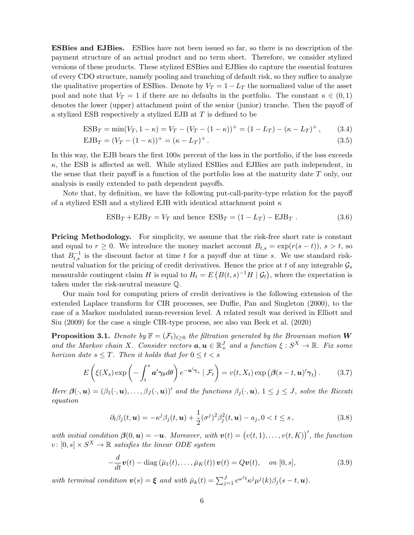ESBies and EJBies. ESBies have not been issued so far, so there is no description of the payment structure of an actual product and no term sheet. Therefore, we consider stylized versions of these products. These stylized ESBies and EJBies do capture the essential features of every CDO structure, namely pooling and tranching of default risk, so they suffice to analyze the qualitative properties of ESBies. Denote by  $V_T = 1 - L_T$  the normalized value of the asset pool and note that  $V_T = 1$  if there are no defaults in the portfolio. The constant  $\kappa \in (0,1)$ denotes the lower (upper) attachment point of the senior (junior) tranche. Then the payoff of a stylized ESB respectively a stylized EJB at T is defined to be

$$
ESB_T = \min(V_T, 1 - \kappa) = V_T - (V_T - (1 - \kappa))^+ = (1 - L_T) - (\kappa - L_T)^+, \qquad (3.4)
$$

$$
EJB_T = (V_T - (1 - \kappa))^+ = (\kappa - L_T)^+.
$$
\n(3.5)

In this way, the EJB bears the first  $100\kappa$  percent of the loss in the portfolio, if the loss exceeds  $\kappa$ , the ESB is affected as well. While stylized ESBies and EJBies are path independent, in the sense that their payoff is a function of the portfolio loss at the maturity date  $T$  only, our analysis is easily extended to path dependent payoffs.

Note that, by definition, we have the following put-call-parity-type relation for the payoff of a stylized ESB and a stylized EJB with identical attachment point  $\kappa$ 

$$
ESBT + EJBT = VT and hence 
$$
ESBT = (1 - LT) - EJBT
$$
 (3.6)
$$

**Pricing Methodology.** For simplicity, we assume that the risk-free short rate is constant and equal to  $r \geq 0$ . We introduce the money market account  $B_{t,s} = \exp(r(s-t)), s > t$ , so that  $B_{t,s}^{-1}$  is the discount factor at time t for a payoff due at time s. We use standard riskneutral valuation for the pricing of credit derivatives. Hence the price at t of any integrable  $\mathcal{G}_s$ measurable contingent claim H is equal to  $H_t = E\left(B(t, s)^{-1}H \mid \mathcal{G}_t\right)$ , where the expectation is taken under the risk-neutral measure Q.

Our main tool for computing prices of credit derivatives is the following extension of the extended Laplace transform for CIR processes, see Duffie, Pan and Singleton (2000), to the case of a Markov modulated mean-reversion level. A related result was derived in Elliott and Siu (2009) for the case a single CIR-type process, see also van Beek et al. (2020)

**Proposition 3.1.** Denote by  $\mathbb{F} = (\mathcal{F}_t)_{t>0}$  the filtration generated by the Brownian motion **W** and the Markov chain X. Consider vectors  $a, u \in \mathbb{R}^J_+$  and a function  $\xi : S^X \to \mathbb{R}$ . Fix some horizon date  $s \leq T$ . Then it holds that for  $0 \leq t < s$ 

$$
E\left(\xi(X_s)\exp\left(-\int_t^s \boldsymbol{a}'\gamma_{\theta}d\theta\right)e^{-\boldsymbol{u}'\gamma_s}|\mathcal{F}_t\right)=v(t,X_t)\exp\left(\boldsymbol{\beta}(s-t,\boldsymbol{u})'\gamma_t\right). \qquad (3.7)
$$

Here  $\beta(\cdot,\mathbf{u}) = (\beta_1(\cdot,\mathbf{u}),\ldots,\beta_J(\cdot,\mathbf{u}))'$  and the functions  $\beta_j(\cdot,\mathbf{u}), 1 \leq j \leq J$ , solve the Riccati equation

$$
\partial_t \beta_j(t, \mathbf{u}) = -\kappa^j \beta_j(t, \mathbf{u}) + \frac{1}{2} (\sigma^j)^2 \beta_j^2(t, \mathbf{u}) - a_j, 0 < t \leq s \,, \tag{3.8}
$$

with initial condition  $\boldsymbol{\beta}(0, \boldsymbol{u}) = -\boldsymbol{u}$ . Moreover, with  $\boldsymbol{v}(t) = (v(t, 1), \dots, v(t, K))'$ , the function  $v: [0, s] \times S^X \to \mathbb{R}$  satisfies the linear ODE system

$$
-\frac{d}{dt}\boldsymbol{v}(t) - \text{diag}\left(\bar{\mu}_1(t), \ldots, \bar{\mu}_K(t)\right)\boldsymbol{v}(t) = Q\boldsymbol{v}(t), \quad on \ [0, s], \tag{3.9}
$$

with terminal condition  $\mathbf{v}(s) = \boldsymbol{\xi}$  and with  $\bar{\mu}_k(t) = \sum_{j=1}^J e^{\omega^j t} \kappa^j \mu^j(k) \beta_j(s-t, \boldsymbol{u}).$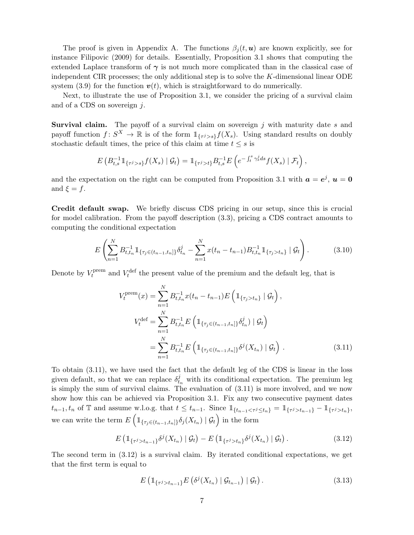The proof is given in Appendix A. The functions  $\beta_i(t, \mathbf{u})$  are known explicitly, see for instance Filipovic (2009) for details. Essentially, Proposition 3.1 shows that computing the extended Laplace transform of  $\gamma$  is not much more complicated than in the classical case of independent CIR processes; the only additional step is to solve the K-dimensional linear ODE system (3.9) for the function  $v(t)$ , which is straightforward to do numerically.

Next, to illustrate the use of Proposition 3.1, we consider the pricing of a survival claim and of a CDS on sovereign j.

**Survival claim.** The payoff of a survival claim on sovereign  $j$  with maturity date  $s$  and payoff function  $f: S^X \to \mathbb{R}$  is of the form  $\mathbb{1}_{\{\tau^j>s\}}f(X_s)$ . Using standard results on doubly stochastic default times, the price of this claim at time  $t \leq s$  is

$$
E\left(B_{t,s}^{-1}\mathbb{1}_{\{\tau^j>s\}}f(X_s)\mid \mathcal{G}_t\right)=\mathbb{1}_{\{\tau^j>t\}}B_{t,s}^{-1}E\left(e^{-\int_t^s\gamma_s^jds}f(X_s)\mid \mathcal{F}_t\right),
$$

and the expectation on the right can be computed from Proposition 3.1 with  $a = e^j$ ,  $u = 0$ and  $\xi = f$ .

Credit default swap. We briefly discuss CDS pricing in our setup, since this is crucial for model calibration. From the payoff description (3.3), pricing a CDS contract amounts to computing the conditional expectation

$$
E\left(\sum_{n=1}^{N} B_{t,t_n}^{-1} \mathbb{1}_{\{\tau_j \in (t_{n-1}, t_n]\}} \delta_{t_n}^j - \sum_{n=1}^{N} x(t_n - t_{n-1}) B_{t,t_n}^{-1} \mathbb{1}_{\{\tau_j > t_n\}} \mid \mathcal{G}_t\right).
$$
(3.10)

Denote by  $V_t^{\text{prem}}$  $t_t^{\text{prem}}$  and  $V_t^{\text{def}}$  the present value of the premium and the default leg, that is

$$
V_t^{\text{prem}}(x) = \sum_{n=1}^{N} B_{t,t_n}^{-1} x(t_n - t_{n-1}) E\left(\mathbb{1}_{\{\tau_j > t_n\}} \mid \mathcal{G}_t\right),
$$
  

$$
V_t^{\text{def}} = \sum_{n=1}^{N} B_{t,t_n}^{-1} E\left(\mathbb{1}_{\{\tau_j \in (t_{n-1}, t_n]\}} \delta_{t_n}^j) \mid \mathcal{G}_t\right)
$$
  

$$
= \sum_{n=1}^{N} B_{t,t_n}^{-1} E\left(\mathbb{1}_{\{\tau_j \in (t_{n-1}, t_n]\}} \delta^j(X_{t_n}) \mid \mathcal{G}_t\right).
$$
 (3.11)

To obtain (3.11), we have used the fact that the default leg of the CDS is linear in the loss given default, so that we can replace  $\delta_{t_n}^j$  with its conditional expectation. The premium leg is simply the sum of survival claims. The evaluation of (3.11) is more involved, and we now show how this can be achieved via Proposition 3.1. Fix any two consecutive payment dates  $t_{n-1}, t_n$  of T and assume w.l.o.g. that  $t \leq t_{n-1}$ . Since  $\mathbb{1}_{\{t_{n-1} < \tau^j \leq t_n\}} = \mathbb{1}_{\{\tau^j > t_{n-1}\}} - \mathbb{1}_{\{\tau^j > t_n\}}$ , we can write the term  $E\left(\mathbb{1}_{\{\tau_j \in (t_{n-1}, t_n]\}} \delta_j(X_{t_n}) \mid \mathcal{G}_t\right)$  in the form

$$
E\left(\mathbb{1}_{\{\tau^j>t_{n-1}\}}\delta^j(X_{t_n})\mid\mathcal{G}_t\right)-E\left(\mathbb{1}_{\{\tau^j>t_n\}}\delta^j(X_{t_n})\mid\mathcal{G}_t\right).
$$
\n(3.12)

The second term in (3.12) is a survival claim. By iterated conditional expectations, we get that the first term is equal to

$$
E\left(\mathbb{1}_{\{\tau^j>t_{n-1}\}}E\left(\delta^j(X_{t_n})\mid\mathcal{G}_{t_{n-1}}\right)\mid\mathcal{G}_t\right).
$$
\n(3.13)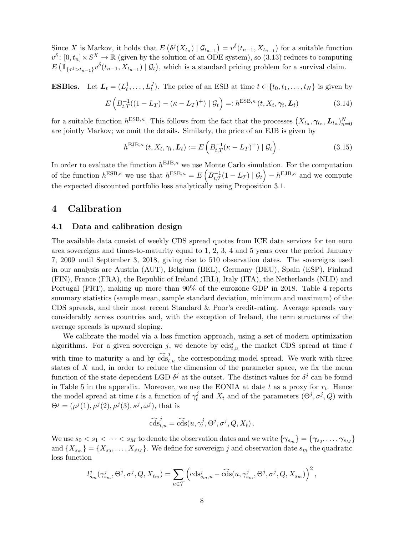Since X is Markov, it holds that  $E(\delta^{j}(X_{t_n}) | \mathcal{G}_{t_{n-1}}) = v^{\delta}(t_{n-1}, X_{t_{n-1}})$  for a suitable function  $v^{\delta}$ :  $[0, t_n] \times S^X \to \mathbb{R}$  (given by the solution of an ODE system), so (3.13) reduces to computing  $E\left(\mathbb{1}_{\{\tau^j>t_{n-1}\}}v^{\delta}(t_{n-1},X_{t_{n-1}})\mid \mathcal{G}_t\right)$ , which is a standard pricing problem for a survival claim.

**ESBies.** Let  $\mathbf{L}_t = (L_t^1, \ldots, L_t^J)$ . The price of an ESB at time  $t \in \{t_0, t_1, \ldots, t_N\}$  is given by

$$
E\left(B_{t,T}^{-1}((1-L_T)-(\kappa-L_T)^+)\mid \mathcal{G}_t\right)=:h^{\text{ESB},\kappa}\left(t,X_t,\gamma_t,\mathbf{L}_t\right)
$$
\n(3.14)

for a suitable function  $h^{\text{ESB},\kappa}$ . This follows from the fact that the processes  $(X_{t_n}, \gamma_{t_n}, L_{t_n})_{n=0}^N$ are jointly Markov; we omit the details. Similarly, the price of an EJB is given by

$$
h^{\text{EJB},\kappa}(t, X_t, \gamma_t, \mathbf{L}_t) := E\left(B_{t,T}^{-1}(\kappa - L_T)^{+}) | \mathcal{G}_t\right).
$$
\n(3.15)

In order to evaluate the function  $h^{\text{EJB},\kappa}$  we use Monte Carlo simulation. For the computation of the function  $h^{\text{ESB},\kappa}$  we use that  $h^{\text{ESB},\kappa} = E\left(B_{t,T}^{-1}(1-L_T) \mid \mathcal{G}_t\right) - h^{\text{EJB},\kappa}$  and we compute the expected discounted portfolio loss analytically using Proposition 3.1.

## 4 Calibration

#### 4.1 Data and calibration design

The available data consist of weekly CDS spread quotes from ICE data services for ten euro area sovereigns and times-to-maturity equal to 1, 2, 3, 4 and 5 years over the period January 7, 2009 until September 3, 2018, giving rise to 510 observation dates. The sovereigns used in our analysis are Austria (AUT), Belgium (BEL), Germany (DEU), Spain (ESP), Finland (FIN), France (FRA), the Republic of Ireland (IRL), Italy (ITA), the Netherlands (NLD) and Portugal (PRT), making up more than 90% of the eurozone GDP in 2018. Table 4 reports summary statistics (sample mean, sample standard deviation, minimum and maximum) of the CDS spreads, and their most recent Standard & Poor's credit-rating. Average spreads vary considerably across countries and, with the exception of Ireland, the term structures of the average spreads is upward sloping.

We calibrate the model via a loss function approach, using a set of modern optimization algorithms. For a given sovereign j, we denote by  $\text{cds}_{t,u}^j$  the market CDS spread at time t with time to maturity u and by  $\widehat{\text{cos}}_{t,u}^j$  the corresponding model spread. We work with three states of  $X$  and, in order to reduce the dimension of the parameter space, we fix the mean function of the state-dependent LGD  $\delta^j$  at the outset. The distinct values for  $\delta^j$  can be found in Table 5 in the appendix. Moreover, we use the EONIA at date t as a proxy for  $r_t$ . Hence the model spread at time t is a function of  $\gamma_t^j$  $t_i^j$  and  $X_t$  and of the parameters  $(\Theta^j, \sigma^j, Q)$  with  $\Theta^{j} = (\mu^{j}(1), \mu^{j}(2), \mu^{j}(3), \kappa^{j}, \omega^{j}),$  that is

$$
\widehat{\mathrm{cds}}_{t,u}^j = \widehat{\mathrm{cds}}(u, \gamma_t^j, \Theta^j, \sigma^j, Q, X_t).
$$

We use  $s_0 < s_1 < \cdots < s_M$  to denote the observation dates and we write  $\{\bm{\gamma}_{s_m}\} = \{\bm{\gamma}_{s_0}, \ldots, \bm{\gamma}_{s_M}\}$ and  $\{X_{s_m}\} = \{X_{s_0}, \ldots, X_{s_M}\}.$  We define for sovereign j and observation date  $s_m$  the quadratic loss function

$$
l_{s_m}^j(\gamma_{s_m}^j,\Theta^j,\sigma^j,Q,X_{t_m})=\sum_{u\in\mathcal{T}}\left(\operatorname{cds}_{s_m,u}^j-\widehat{\operatorname{cds}}(u,\gamma_{s_m}^j,\Theta^j,\sigma^j,Q,X_{s_m})\right)^2,
$$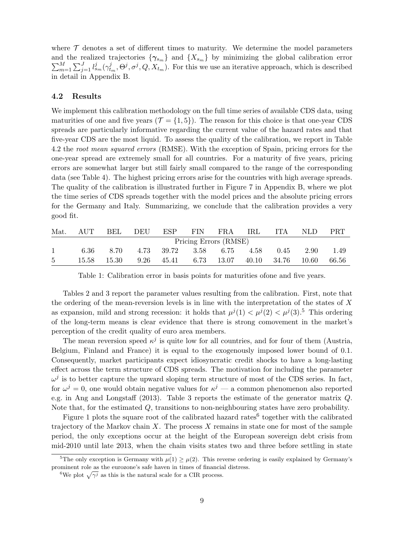where  $\mathcal T$  denotes a set of different times to maturity. We determine the model parameters and the realized trajectories  $\{\gamma_{s_m}\}\$ and  $\{X_{s_m}\}\$  by minimizing the global calibration error  $\sum_{m=1}^M\sum_{j=1}^Jl_{s_m}^j(\gamma_t^j)$  $t_{tm}^{j}, \Theta^{j}, \sigma^{j}, Q, X_{t_m}$ ). For this we use an iterative approach, which is described in detail in Appendix B.

#### 4.2 Results

We implement this calibration methodology on the full time series of available CDS data, using maturities of one and five years  $(\mathcal{T} = \{1, 5\})$ . The reason for this choice is that one-year CDS spreads are particularly informative regarding the current value of the hazard rates and that five-year CDS are the most liquid. To assess the quality of the calibration, we report in Table 4.2 the root mean squared errors (RMSE). With the exception of Spain, pricing errors for the one-year spread are extremely small for all countries. For a maturity of five years, pricing errors are somewhat larger but still fairly small compared to the range of the corresponding data (see Table 4). The highest pricing errors arise for the countries with high average spreads. The quality of the calibration is illustrated further in Figure 7 in Appendix B, where we plot the time series of CDS spreads together with the model prices and the absolute pricing errors for the Germany and Italy. Summarizing, we conclude that the calibration provides a very good fit.

| Mat.  | AUT                   | BEL  | DEU |                                               | ESP FIN FRA |  | $\operatorname{IRL}$ | ITA. | NLD.   | PRT.  |  |
|-------|-----------------------|------|-----|-----------------------------------------------|-------------|--|----------------------|------|--------|-------|--|
|       | Pricing Errors (RMSE) |      |     |                                               |             |  |                      |      |        |       |  |
|       | 6.36                  | 8.70 |     | $4.73$ $39.72$ $3.58$ $6.75$ $4.58$           |             |  |                      | 0.45 | 2.90   | 1.49  |  |
| $5 -$ |                       |      |     | 15.58 15.30 9.26 45.41 6.73 13.07 40.10 34.76 |             |  |                      |      | -10.60 | 66.56 |  |

Table 1: Calibration error in basis points for maturities ofone and five years.

Tables 2 and 3 report the parameter values resulting from the calibration. First, note that the ordering of the mean-reversion levels is in line with the interpretation of the states of  $X$ as expansion, mild and strong recession: it holds that  $\mu^{j}(1) < \mu^{j}(2) < \mu^{j}(3)$ .<sup>5</sup> This ordering of the long-term means is clear evidence that there is strong comovement in the market's perception of the credit quality of euro area members.

The mean reversion speed  $\kappa^j$  is quite low for all countries, and for four of them (Austria, Belgium, Finland and France) it is equal to the exogenously imposed lower bound of 0.1. Consequently, market participants expect idiosyncratic credit shocks to have a long-lasting effect across the term structure of CDS spreads. The motivation for including the parameter  $\omega^j$  is to better capture the upward sloping term structure of most of the CDS series. In fact, for  $\omega^j = 0$ , one would obtain negative values for  $\kappa^j$  — a common phenomenon also reported e.g. in Ang and Longstaff (2013). Table 3 reports the estimate of the generator matrix Q. Note that, for the estimated Q, transitions to non-neighbouring states have zero probability.

Figure 1 plots the square root of the calibrated hazard rates<sup>6</sup> together with the calibrated trajectory of the Markov chain  $X$ . The process  $X$  remains in state one for most of the sample period, the only exceptions occur at the height of the European sovereign debt crisis from mid-2010 until late 2013, when the chain visits states two and three before settling in state

<sup>&</sup>lt;sup>5</sup>The only exception is Germany with  $\mu(1) \geq \mu(2)$ . This reverse ordering is easily explained by Germany's prominent role as the eurozone's safe haven in times of financial distress.

<sup>&</sup>lt;sup>6</sup>We plot  $\sqrt{\gamma^j}$  as this is the natural scale for a CIR process.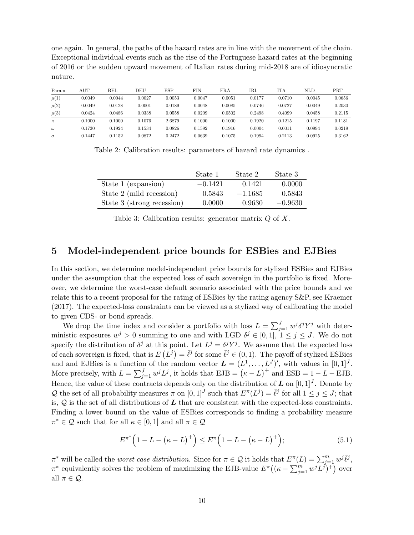one again. In general, the paths of the hazard rates are in line with the movement of the chain. Exceptional individual events such as the rise of the Portuguese hazard rates at the beginning of 2016 or the sudden upward movement of Italian rates during mid-2018 are of idiosyncratic nature.

| Param.   | $_{\rm AUT}$ | BEL    | DEU    | ESP    | FIN    | <b>FRA</b> | IRL    | ITA    | <b>NLD</b> | PRT    |
|----------|--------------|--------|--------|--------|--------|------------|--------|--------|------------|--------|
| $\mu(1)$ | 0.0049       | 0.0044 | 0.0027 | 0.0053 | 0.0047 | 0.0051     | 0.0177 | 0.0710 | 0.0045     | 0.0656 |
| $\mu(2)$ | 0.0049       | 0.0128 | 0.0001 | 0.0189 | 0.0048 | 0.0085     | 0.0746 | 0.0727 | 0.0049     | 0.2030 |
| $\mu(3)$ | 0.0424       | 0.0486 | 0.0338 | 0.0558 | 0.0209 | 0.0502     | 0.2498 | 0.4099 | 0.0458     | 0.2115 |
| $\kappa$ | 0.1000       | 0.1000 | 0.1076 | 2.6879 | 0.1000 | 0.1000     | 0.1920 | 0.1215 | 0.1197     | 0.1181 |
| $\omega$ | 0.1730       | 0.1924 | 0.1534 | 0.0826 | 0.1592 | 0.1916     | 0.0004 | 0.0011 | 0.0994     | 0.0219 |
| $\sigma$ | 0.1447       | 0.1152 | 0.0872 | 0.2472 | 0.0639 | 0.1075     | 0.1994 | 0.2113 | 0.0925     | 0.3162 |

Table 2: Calibration results: parameters of hazard rate dynamics .

|                            | State 1   | State 2   | State 3   |
|----------------------------|-----------|-----------|-----------|
| State 1 (expansion)        | $-0.1421$ | 0.1421    | 0.0000    |
| State 2 (mild recession)   | 0.5843    | $-1.1685$ | 0.5843    |
| State 3 (strong recession) | 0.0000    | 0.9630    | $-0.9630$ |

Table 3: Calibration results: generator matrix  $Q$  of  $X$ .

### 5 Model-independent price bounds for ESBies and EJBies

In this section, we determine model-independent price bounds for stylized ESBies and EJBies under the assumption that the expected loss of each sovereign in the portfolio is fixed. Moreover, we determine the worst-case default scenario associated with the price bounds and we relate this to a recent proposal for the rating of ESBies by the rating agency S&P, see Kraemer (2017). The expected-loss constraints can be viewed as a stylized way of calibrating the model to given CDS- or bond spreads.

We drop the time index and consider a portfolio with loss  $L = \sum_{j=1}^{J} w^j \delta^j Y^j$  with deterministic exposures  $w^j > 0$  summing to one and with LGD  $\delta^j \in [0,1],$   $1 \leq j \leq J$ . We do not specify the distribution of  $\delta^j$  at this point. Let  $L^j = \delta^j Y^j$ . We assume that the expected loss of each sovereign is fixed, that is  $E(L^j) = \overline{\ell}^j$  for some  $\overline{\ell}^j \in (0, 1)$ . The payoff of stylized ESBies and and EJBies is a function of the random vector  $\mathbf{L} = (L^1, \ldots, L^J)'$ , with values in  $[0, 1]^J$ . More precisely, with  $L = \sum_{j=1}^{J} w^{j} L^{j}$ , it holds that  $EJB = (\kappa - L)^{+}$  and  $ESB = 1 - L - EJB$ . Hence, the value of these contracts depends only on the distribution of  $\bm{L}$  on  $[0,1]^J$ . Denote by Q the set of all probability measures  $\pi$  on  $[0,1]^J$  such that  $E^{\pi}(L^j) = \overline{\ell}^j$  for all  $1 \leq j \leq J$ ; that is,  $Q$  is the set of all distributions of  $L$  that are consistent with the expected-loss constraints. Finding a lower bound on the value of ESBies corresponds to finding a probability measure  $\pi^* \in \mathcal{Q}$  such that for all  $\kappa \in [0, 1]$  and all  $\pi \in \mathcal{Q}$ 

$$
E^{\pi^*} (1 - L - (\kappa - L)^+) \le E^{\pi} (1 - L - (\kappa - L)^+); \tag{5.1}
$$

 $\pi^*$  will be called the *worst case distribution*. Since for  $\pi \in \mathcal{Q}$  it holds that  $E^{\pi}(L) = \sum_{j=1}^m w^j \overline{\ell}^j$ ,  $\pi^*$  equivalently solves the problem of maximizing the EJB-value  $E^{\pi}((\kappa - \sum_{j=1}^m w^j L^j)^+)$  over all  $\pi \in \mathcal{Q}$ .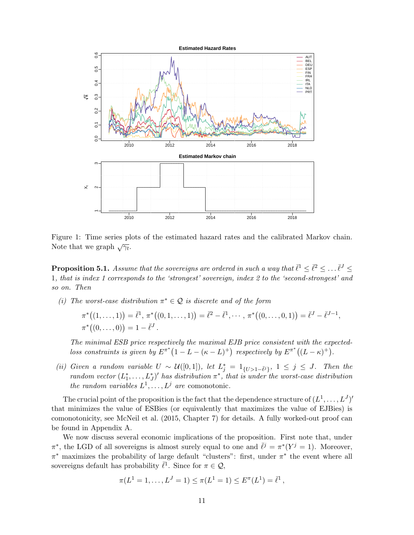

Figure 1: Time series plots of the estimated hazard rates and the calibrated Markov chain. Note that we graph  $\sqrt{\gamma_t}$ .

**Proposition 5.1.** Assume that the sovereigns are ordered in such a way that  $\bar{\ell}^1 \leq \bar{\ell}^2 \leq \ldots \bar{\ell}^J \leq$ 1, that is index 1 corresponds to the 'strongest' sovereign, index 2 to the 'second-strongest' and so on. Then

(i) The worst-case distribution  $\pi^* \in \mathcal{Q}$  is discrete and of the form

$$
\pi^*((1,\ldots,1)) = \bar{\ell}^1, \pi^*((0,1,\ldots,1)) = \bar{\ell}^2 - \bar{\ell}^1, \cdots, \pi^*((0,\ldots,0,1)) = \bar{\ell}^J - \bar{\ell}^{J-1},
$$
  

$$
\pi^*((0,\ldots,0)) = 1 - \bar{\ell}^J.
$$

The minimal ESB price respectively the maximal EJB price consistent with the expectedloss constraints is given by  $E^{\pi^*}(1 - L - (\kappa - L)^+)$  respectively by  $E^{\pi^*}((L - \kappa)^+)$ .

(ii) Given a random variable  $U \sim \mathcal{U}([0,1])$ , let  $L_j^* = 1_{\{U > 1 - \bar{\ell}^j\}}, 1 \leq j \leq J$ . Then the random vector  $(L_1^*, \ldots, L_J^*)'$  has distribution  $\pi^*$ , that is under the worst-case distribution the random variables  $L^1, \ldots, L^j$  are comonotonic.

The crucial point of the proposition is the fact that the dependence structure of  $(L^1, \ldots, L^J)'$ that minimizes the value of ESBies (or equivalently that maximizes the value of EJBies) is comonotonicity, see McNeil et al. (2015, Chapter 7) for details. A fully worked-out proof can be found in Appendix A.

We now discuss several economic implications of the proposition. First note that, under  $\pi^*$ , the LGD of all sovereigns is almost surely equal to one and  $\bar{\ell}^j = \pi^*(Y^j = 1)$ . Moreover,  $\pi^*$  maximizes the probability of large default "clusters": first, under  $\pi^*$  the event where all sovereigns default has probability  $\bar{\ell}^1$ . Since for  $\pi \in \mathcal{Q}$ ,

$$
\pi(L^1 = 1, \ldots, L^J = 1) \leq \pi(L^1 = 1) \leq E^{\pi}(L^1) = \overline{\ell}^1,
$$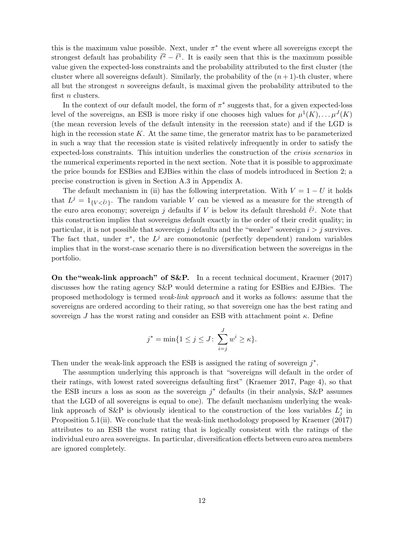this is the maximum value possible. Next, under  $\pi^*$  the event where all sovereigns except the strongest default has probability  $\bar{\ell}^2 - \bar{\ell}^1$ . It is easily seen that this is the maximum possible value given the expected-loss constraints and the probability attributed to the first cluster (the cluster where all sovereigns default). Similarly, the probability of the  $(n+1)$ -th cluster, where all but the strongest  $n$  sovereigns default, is maximal given the probability attributed to the first *n* clusters.

In the context of our default model, the form of  $\pi^*$  suggests that, for a given expected-loss level of the sovereigns, an ESB is more risky if one chooses high values for  $\mu^1(K), \ldots \mu^J(K)$ (the mean reversion levels of the default intensity in the recession state) and if the LGD is high in the recession state  $K$ . At the same time, the generator matrix has to be parameterized in such a way that the recession state is visited relatively infrequently in order to satisfy the expected-loss constraints. This intuition underlies the construction of the crisis scenarios in the numerical experiments reported in the next section. Note that it is possible to approximate the price bounds for ESBies and EJBies within the class of models introduced in Section 2; a precise construction is given in Section A.3 in Appendix A.

The default mechanism in (ii) has the following interpretation. With  $V = 1 - U$  it holds that  $L^j = 1_{\{V \le \bar{\ell}^j\}}$ . The random variable V can be viewed as a measure for the strength of the euro area economy; sovereign j defaults if V is below its default threshold  $\bar{\ell}^j$ . Note that this construction implies that sovereigns default exactly in the order of their credit quality; in particular, it is not possible that sovereign j defaults and the "weaker" sovereign  $i > j$  survives. The fact that, under  $\pi^*$ , the  $L^j$  are comonotonic (perfectly dependent) random variables implies that in the worst-case scenario there is no diversification between the sovereigns in the portfolio.

On the"weak-link approach" of S&P. In a recent technical document, Kraemer (2017) discusses how the rating agency S&P would determine a rating for ESBies and EJBies. The proposed methodology is termed weak-link approach and it works as follows: assume that the sovereigns are ordered according to their rating, so that sovereign one has the best rating and sovereign J has the worst rating and consider an ESB with attachment point  $\kappa$ . Define

$$
j^* = \min\{1 \le j \le J \colon \sum_{i=j}^J w^i \ge \kappa\}.
$$

Then under the weak-link approach the ESB is assigned the rating of sovereign  $j^*$ .

The assumption underlying this approach is that "sovereigns will default in the order of their ratings, with lowest rated sovereigns defaulting first" (Kraemer 2017, Page 4), so that the ESB incurs a loss as soon as the sovereign  $j^*$  defaults (in their analysis, S&P assumes that the LGD of all sovereigns is equal to one). The default mechanism underlying the weaklink approach of S&P is obviously identical to the construction of the loss variables  $L_j^*$  in Proposition 5.1(ii). We conclude that the weak-link methodology proposed by Kraemer (2017) attributes to an ESB the worst rating that is logically consistent with the ratings of the individual euro area sovereigns. In particular, diversification effects between euro area members are ignored completely.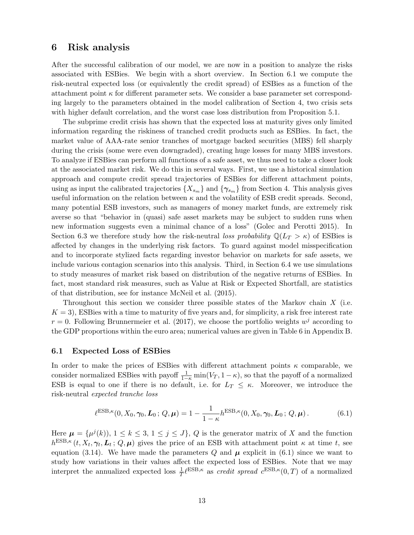## 6 Risk analysis

After the successful calibration of our model, we are now in a position to analyze the risks associated with ESBies. We begin with a short overview. In Section 6.1 we compute the risk-neutral expected loss (or equivalently the credit spread) of ESBies as a function of the attachment point  $\kappa$  for different parameter sets. We consider a base parameter set corresponding largely to the parameters obtained in the model calibration of Section 4, two crisis sets with higher default correlation, and the worst case loss distribution from Proposition 5.1.

The subprime credit crisis has shown that the expected loss at maturity gives only limited information regarding the riskiness of tranched credit products such as ESBies. In fact, the market value of AAA-rate senior tranches of mortgage backed securities (MBS) fell sharply during the crisis (some were even downgraded), creating huge losses for many MBS investors. To analyze if ESBies can perform all functions of a safe asset, we thus need to take a closer look at the associated market risk. We do this in several ways. First, we use a historical simulation approach and compute credit spread trajectories of ESBies for different attachment points, using as input the calibrated trajectories  $\{X_{s_m}\}\$  and  $\{\gamma_{s_m}\}\$  from Section 4. This analysis gives useful information on the relation between  $\kappa$  and the volatility of ESB credit spreads. Second, many potential ESB investors, such as managers of money market funds, are extremely risk averse so that "behavior in (quasi) safe asset markets may be subject to sudden runs when new information suggests even a minimal chance of a loss" (Golec and Perotti 2015). In Section 6.3 we therefore study how the risk-neutral loss probability  $\mathbb{Q}(L_T > \kappa)$  of ESBies is affected by changes in the underlying risk factors. To guard against model misspecification and to incorporate stylized facts regarding investor behavior on markets for safe assets, we include various contagion scenarios into this analysis. Third, in Section 6.4 we use simulations to study measures of market risk based on distribution of the negative returns of ESBies. In fact, most standard risk measures, such as Value at Risk or Expected Shortfall, are statistics of that distribution, see for instance McNeil et al. (2015).

Throughout this section we consider three possible states of the Markov chain  $X$  (i.e.  $K = 3$ , ESBies with a time to maturity of five years and, for simplicity, a risk free interest rate  $r = 0$ . Following Brunnermeier et al. (2017), we choose the portfolio weights  $w<sup>j</sup>$  according to the GDP proportions within the euro area; numerical values are given in Table 6 in Appendix B.

#### 6.1 Expected Loss of ESBies

In order to make the prices of ESBies with different attachment points  $\kappa$  comparable, we consider normalized ESBies with payoff  $\frac{1}{1-\kappa} \min(V_T, 1-\kappa)$ , so that the payoff of a normalized ESB is equal to one if there is no default, i.e. for  $L_T \leq \kappa$ . Moreover, we introduce the risk-neutral expected tranche loss

$$
\ell^{\text{ESB},\kappa}(0,X_0,\gamma_0,\mathbf{L}_0;Q,\boldsymbol{\mu})=1-\frac{1}{1-\kappa}h^{\text{ESB},\kappa}(0,X_0,\gamma_0,\mathbf{L}_0;Q,\boldsymbol{\mu}).\tag{6.1}
$$

Here  $\mu = {\mu^{j}(k)}$ ,  $1 \leq k \leq 3, 1 \leq j \leq J$ , Q is the generator matrix of X and the function  $h^{\text{ESB},\kappa}(t, X_t, \gamma_t, L_t; Q, \mu)$  gives the price of an ESB with attachment point  $\kappa$  at time t, see equation (3.14). We have made the parameters  $Q$  and  $\mu$  explicit in (6.1) since we want to study how variations in their values affect the expected loss of ESBies. Note that we may interpret the annualized expected loss  $\frac{1}{T} \ell^{ESB,\kappa}$  as *credit spread*  $c^{ESB,\kappa}(0,T)$  of a normalized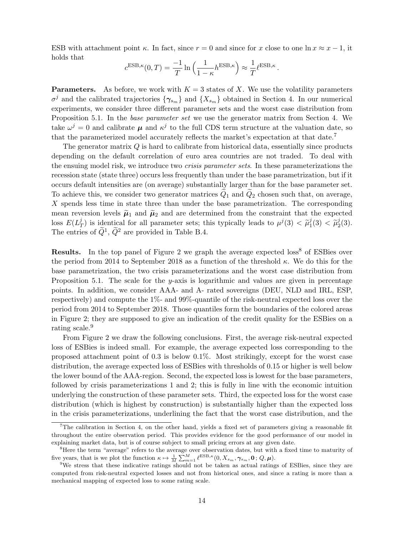ESB with attachment point  $\kappa$ . In fact, since  $r = 0$  and since for x close to one  $\ln x \approx x - 1$ , it holds that

$$
c^{\text{ESB},\kappa}(0,T) = \frac{-1}{T} \ln \left( \frac{1}{1-\kappa} h^{\text{ESB},\kappa} \right) \approx \frac{1}{T} \ell^{\text{ESB},\kappa}.
$$

**Parameters.** As before, we work with  $K = 3$  states of X. We use the volatility parameters  $\sigma^j$  and the calibrated trajectories  $\{\gamma_{s_m}\}\$  and  $\{X_{s_m}\}\$  obtained in Section 4. In our numerical experiments, we consider three different parameter sets and the worst case distribution from Proposition 5.1. In the base parameter set we use the generator matrix from Section 4. We take  $\omega^j = 0$  and calibrate  $\mu$  and  $\kappa^j$  to the full CDS term structure at the valuation date, so that the parameterized model accurately reflects the market's expectation at that date.<sup>7</sup>

The generator matrix Q is hard to calibrate from historical data, essentially since products depending on the default correlation of euro area countries are not traded. To deal with the ensuing model risk, we introduce two crisis parameter sets. In these parameterizations the recession state (state three) occurs less frequently than under the base parametrization, but if it occurs default intensities are (on average) substantially larger than for the base parameter set. To achieve this, we consider two generator matrices  $\tilde{Q}_1$  and  $\tilde{Q}_2$  chosen such that, on average, X spends less time in state three than under the base parametrization. The corresponding mean reversion levels  $\tilde{\mu}_1$  and  $\tilde{\mu}_2$  and are determined from the constraint that the expected loss  $E(L_7^j)$  $\begin{aligned} \n\tilde{f}_T^j \text{ is identical for all parameter sets; this typically leads to } \mu^j(3) < \tilde{\mu}_1^j. \n\end{aligned}$  $j_1^j(3) < \tilde{\mu}_2^j$  $^{j}_{2}(3).$ The entries of  $\tilde{Q}^1$ ,  $\tilde{Q}^2$  are provided in Table B.4.

**Results.** In the top panel of Figure 2 we graph the average expected  $loss<sup>8</sup>$  of ESBies over the period from 2014 to September 2018 as a function of the threshold  $\kappa$ . We do this for the base parametrization, the two crisis parameterizations and the worst case distribution from Proposition 5.1. The scale for the y-axis is logarithmic and values are given in percentage points. In addition, we consider AAA- and A- rated sovereigns (DEU, NLD and IRL, ESP, respectively) and compute the 1%- and 99%-quantile of the risk-neutral expected loss over the period from 2014 to September 2018. Those quantiles form the boundaries of the colored areas in Figure 2; they are supposed to give an indication of the credit quality for the ESBies on a rating scale.<sup>9</sup>

From Figure 2 we draw the following conclusions. First, the average risk-neutral expected loss of ESBies is indeed small. For example, the average expected loss corresponding to the proposed attachment point of 0.3 is below 0.1%. Most strikingly, except for the worst case distribution, the average expected loss of ESBies with thresholds of 0.15 or higher is well below the lower bound of the AAA-region. Second, the expected loss is lowest for the base parameters, followed by crisis parameterizations 1 and 2; this is fully in line with the economic intuition underlying the construction of these parameter sets. Third, the expected loss for the worst case distribution (which is highest by construction) is substantially higher than the expected loss in the crisis parameterizations, underlining the fact that the worst case distribution, and the

 $7$ The calibration in Section 4, on the other hand, yields a fixed set of parameters giving a reasonable fit throughout the entire observation period. This provides evidence for the good performance of our model in explaining market data, but is of course subject to small pricing errors at any given date.

<sup>&</sup>lt;sup>8</sup>Here the term "average" refers to the average over observation dates, but with a fixed time to maturity of five years, that is we plot the function  $\kappa \mapsto \frac{1}{M} \sum_{m=1}^{M} \ell^{\text{ESB},\kappa}(0, X_{s_m}, \gamma_{s_m}, \mathbf{0}; Q, \boldsymbol{\mu}).$ 

<sup>9</sup>We stress that these indicative ratings should not be taken as actual ratings of ESBies, since they are computed from risk-neutral expected losses and not from historical ones, and since a rating is more than a mechanical mapping of expected loss to some rating scale.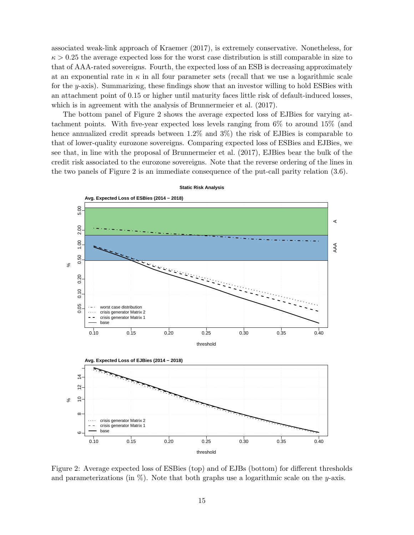associated weak-link approach of Kraemer (2017), is extremely conservative. Nonetheless, for  $\kappa > 0.25$  the average expected loss for the worst case distribution is still comparable in size to that of AAA-rated sovereigns. Fourth, the expected loss of an ESB is decreasing approximately at an exponential rate in  $\kappa$  in all four parameter sets (recall that we use a logarithmic scale for the y-axis). Summarizing, these findings show that an investor willing to hold ESBies with an attachment point of 0.15 or higher until maturity faces little risk of default-induced losses, which is in agreement with the analysis of Brunnermeier et al.  $(2017)$ .

The bottom panel of Figure 2 shows the average expected loss of EJBies for varying attachment points. With five-year expected loss levels ranging from 6% to around 15% (and hence annualized credit spreads between  $1.2\%$  and  $3\%$ ) the risk of EJBies is comparable to that of lower-quality eurozone sovereigns. Comparing expected loss of ESBies and EJBies, we see that, in line with the proposal of Brunnermeier et al. (2017), EJBies bear the bulk of the credit risk associated to the eurozone sovereigns. Note that the reverse ordering of the lines in the two panels of Figure 2 is an immediate consequence of the put-call parity relation (3.6).



Figure 2: Average expected loss of ESBies (top) and of EJBs (bottom) for different thresholds and parameterizations (in  $\%$ ). Note that both graphs use a logarithmic scale on the y-axis.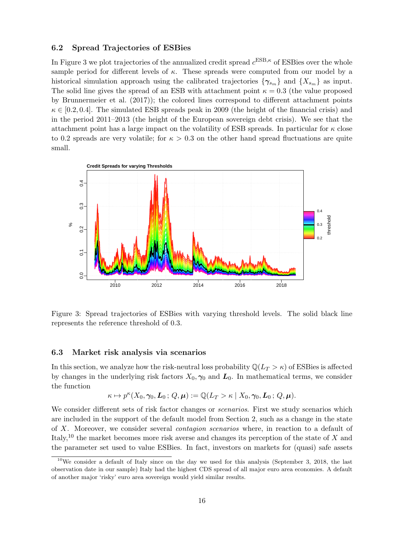### 6.2 Spread Trajectories of ESBies

In Figure 3 we plot trajectories of the annualized credit spread  $c^{\text{ESB},\kappa}$  of ESBies over the whole sample period for different levels of  $\kappa$ . These spreads were computed from our model by a historical simulation approach using the calibrated trajectories  $\{\gamma_{s_m}\}\$ and  $\{X_{s_m}\}\$ as input. The solid line gives the spread of an ESB with attachment point  $\kappa = 0.3$  (the value proposed by Brunnermeier et al. (2017)); the colored lines correspond to different attachment points  $\kappa \in [0.2, 0.4]$ . The simulated ESB spreads peak in 2009 (the height of the financial crisis) and in the period 2011–2013 (the height of the European sovereign debt crisis). We see that the attachment point has a large impact on the volatility of ESB spreads. In particular for  $\kappa$  close to 0.2 spreads are very volatile; for  $\kappa > 0.3$  on the other hand spread fluctuations are quite small.



−<br>.<br>.<br>. Figure 3: Spread trajectories of ESBies with varying threshold levels. The solid black line represents the reference threshold of 0.3.

#### 2010 2012 2014 2016 2018 6.3 Market risk analysis via scenarios

In this section, we analyze how the risk-neutral loss probability  $\mathbb{Q}(L_T > \kappa)$  of ESBies is affected by changes in the underlying risk factors  $X_0, \gamma_0$  and  $\mathbf{L}_0$ . In mathematical terms, we consider the function

$$
\kappa \mapsto p^{\kappa}(X_0, \gamma_0, \mathcal{L}_0; Q, \boldsymbol{\mu}) := \mathbb{Q}(L_T > \kappa \mid X_0, \gamma_0, \mathcal{L}_0; Q, \boldsymbol{\mu}).
$$

We consider different sets of risk factor changes or *scenarios*. First we study scenarios which are included in the support of the default model from Section 2, such as a change in the state of X. Moreover, we consider several contagion scenarios where, in reaction to a default of Italy,<sup>10</sup> the market becomes more risk averse and changes its perception of the state of  $X$  and the parameter set used to value ESBies. In fact, investors on markets for (quasi) safe assets

 $10$ We consider a default of Italy since on the day we used for this analysis (September 3, 2018, the last observation date in our sample) Italy had the highest CDS spread of all major euro area economies. A default of another major 'risky' euro area sovereign would yield similar results.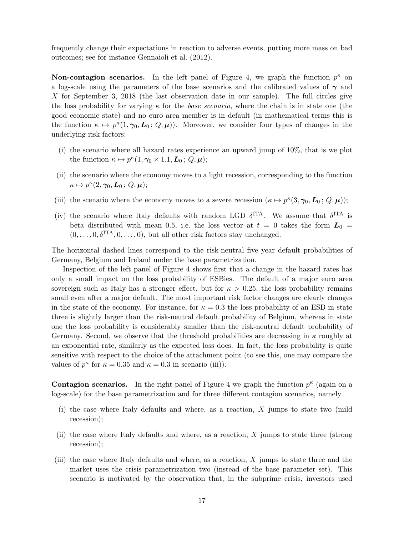frequently change their expectations in reaction to adverse events, putting more mass on bad outcomes; see for instance Gennaioli et al. (2012).

**Non-contagion scenarios.** In the left panel of Figure 4, we graph the function  $p^{\kappa}$  on a log-scale using the parameters of the base scenarios and the calibrated values of  $\gamma$  and X for September 3, 2018 (the last observation date in our sample). The full circles give the loss probability for varying  $\kappa$  for the base scenario, where the chain is in state one (the good economic state) and no euro area member is in default (in mathematical terms this is the function  $\kappa \mapsto p^{\kappa}(1, \gamma_0, L_0; Q, \mu)$ . Moreover, we consider four types of changes in the underlying risk factors:

- (i) the scenario where all hazard rates experience an upward jump of 10%, that is we plot the function  $\kappa \mapsto p^{\kappa}(1, \gamma_0 \times 1.1, \mathbf{L}_0; Q, \boldsymbol{\mu});$
- (ii) the scenario where the economy moves to a light recession, corresponding to the function  $\kappa \mapsto p^{\kappa}(2, \gamma_0, \boldsymbol{L}_0; Q, \boldsymbol{\mu});$
- (iii) the scenario where the economy moves to a severe recession  $(\kappa \mapsto p^{\kappa}(3, \gamma_0, L_0; Q, \mu));$
- (iv) the scenario where Italy defaults with random LGD  $\delta^{\text{ITA}}$ . We assume that  $\delta^{\text{ITA}}$  is beta distributed with mean 0.5, i.e. the loss vector at  $t = 0$  takes the form  $L_0 =$  $(0, \ldots, 0, \delta^{\text{ITA}}, 0, \ldots, 0)$ , but all other risk factors stay unchanged.

The horizontal dashed lines correspond to the risk-neutral five year default probabilities of Germany, Belgium and Ireland under the base parametrization.

Inspection of the left panel of Figure 4 shows first that a change in the hazard rates has only a small impact on the loss probability of ESBies. The default of a major euro area sovereign such as Italy has a stronger effect, but for  $\kappa > 0.25$ , the loss probability remains small even after a major default. The most important risk factor changes are clearly changes in the state of the economy. For instance, for  $\kappa = 0.3$  the loss probability of an ESB in state three is slightly larger than the risk-neutral default probability of Belgium, whereas in state one the loss probability is considerably smaller than the risk-neutral default probability of Germany. Second, we observe that the threshold probabilities are decreasing in  $\kappa$  roughly at an exponential rate, similarly as the expected loss does. In fact, the loss probability is quite sensitive with respect to the choice of the attachment point (to see this, one may compare the values of  $p^{\kappa}$  for  $\kappa = 0.35$  and  $\kappa = 0.3$  in scenario (iii)).

**Contagion scenarios.** In the right panel of Figure 4 we graph the function  $p^{\kappa}$  (again on a log-scale) for the base parametrization and for three different contagion scenarios, namely

- (i) the case where Italy defaults and where, as a reaction, X jumps to state two (mild recession);
- (ii) the case where Italy defaults and where, as a reaction, X jumps to state three (strong recession);
- (iii) the case where Italy defaults and where, as a reaction, X jumps to state three and the market uses the crisis parametrization two (instead of the base parameter set). This scenario is motivated by the observation that, in the subprime crisis, investors used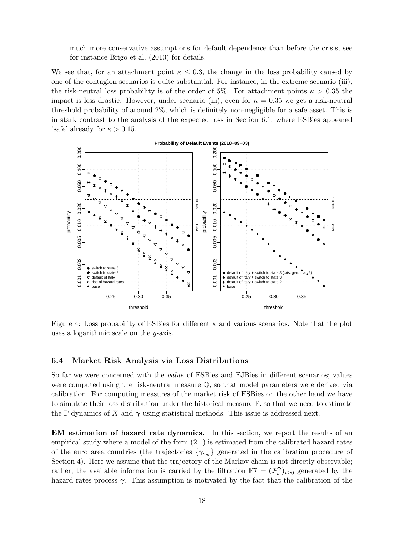much more conservative assumptions for default dependence than before the crisis, see for instance Brigo et al. (2010) for details.

We see that, for an attachment point  $\kappa \leq 0.3$ , the change in the loss probability caused by one of the contagion scenarios is quite substantial. For instance, in the extreme scenario (iii), the risk-neutral loss probability is of the order of 5%. For attachment points  $\kappa > 0.35$  the impact is less drastic. However, under scenario (iii), even for  $\kappa = 0.35$  we get a risk-neutral threshold probability of around 2%, which is definitely non-negligible for a safe asset. This is in stark contrast to the analysis of the expected loss in Section 6.1, where ESBies appeared 'safe' already for  $\kappa > 0.15$ .



Figure 4: Loss probability of ESBies for different  $\kappa$  and various scenarios. Note that the plot uses a logarithmic scale on the y-axis.

#### 6.4 Market Risk Analysis via Loss Distributions

So far we were concerned with the value of ESBies and EJBies in different scenarios; values were computed using the risk-neutral measure Q, so that model parameters were derived via calibration. For computing measures of the market risk of ESBies on the other hand we have to simulate their loss distribution under the historical measure  $\mathbb{P}$ , so that we need to estimate the P dynamics of X and  $\gamma$  using statistical methods. This issue is addressed next.

EM estimation of hazard rate dynamics. In this section, we report the results of an empirical study where a model of the form (2.1) is estimated from the calibrated hazard rates of the euro area countries (the trajectories  $\{\gamma_{s_m}\}\$  generated in the calibration procedure of Section 4). Here we assume that the trajectory of the Markov chain is not directly observable; rather, the available information is carried by the filtration  $\mathbb{F}^{\gamma} = (\mathcal{F}^{\gamma}_t)$  $\hat{t}$ <sup> $\gamma$ </sup> $\geq$ <sup>0</sup> generated by the hazard rates process  $\gamma$ . This assumption is motivated by the fact that the calibration of the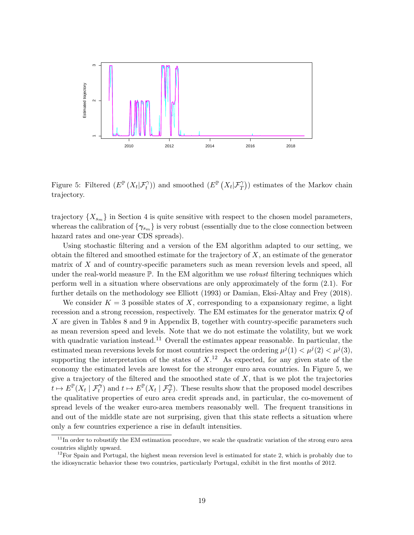

Figure 5: Filtered  $(E^{\mathbb{P}}(X_t|\mathcal{F}_t^{\gamma}))$  and smoothed  $(E^{\mathbb{P}}(X_t|\mathcal{F}_T^{\gamma}))$  estimates of the Markov chain trajectory.

trajectory  $\{X_{s_m}\}\$ in Section 4 is quite sensitive with respect to the chosen model parameters, whereas the calibration of  $\{\gamma_{s_m}\}\$ is very robust (essentially due to the close connection between hazard rates and one-year CDS spreads).

Using stochastic filtering and a version of the EM algorithm adapted to our setting, we obtain the filtered and smoothed estimate for the trajectory of  $X$ , an estimate of the generator matrix of X and of country-specific parameters such as mean reversion levels and speed, all under the real-world measure  $\mathbb{P}$ . In the EM algorithm we use *robust* filtering techniques which perform well in a situation where observations are only approximately of the form (2.1). For further details on the methodology see Elliott (1993) or Damian, Eksi-Altay and Frey (2018).

We consider  $K = 3$  possible states of X, corresponding to a expansionary regime, a light recession and a strong recession, respectively. The EM estimates for the generator matrix Q of X are given in Tables 8 and 9 in Appendix B, together with country-specific parameters such as mean reversion speed and levels. Note that we do not estimate the volatility, but we work with quadratic variation instead.<sup>11</sup> Overall the estimates appear reasonable. In particular, the estimated mean reversions levels for most countries respect the ordering  $\mu^{j}(1) < \mu^{j}(2) < \mu^{j}(3)$ , supporting the interpretation of the states of  $X<sup>12</sup>$ . As expected, for any given state of the economy the estimated levels are lowest for the stronger euro area countries. In Figure 5, we give a trajectory of the filtered and the smoothed state of  $X$ , that is we plot the trajectories  $\overline{t} \mapsto E^{\mathbb{P}}(X_t | \mathcal{F}_t^{\gamma})$  and  $t \mapsto E^{\mathbb{P}}(X_t | \mathcal{F}_T^{\gamma})$ . These results show that the proposed model describes the qualitative properties of euro area credit spreads and, in particular, the co-movement of spread levels of the weaker euro-area members reasonably well. The frequent transitions in and out of the middle state are not surprising, given that this state reflects a situation where only a few countries experience a rise in default intensities.

 $11$ In order to robustify the EM estimation procedure, we scale the quadratic variation of the strong euro area countries slightly upward.

 $12$ For Spain and Portugal, the highest mean reversion level is estimated for state 2, which is probably due to the idiosyncratic behavior these two countries, particularly Portugal, exhibit in the first months of 2012.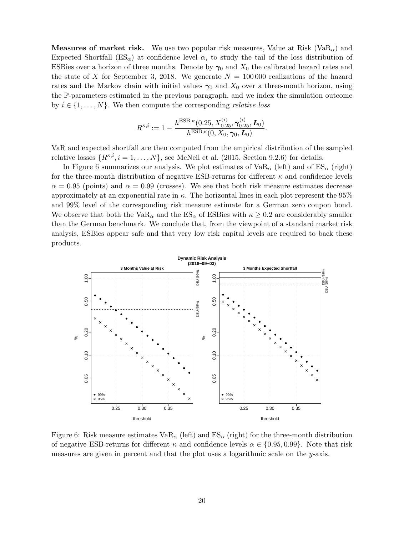**Measures of market risk.** We use two popular risk measures, Value at Risk (VaR<sub> $\alpha$ </sub>) and Expected Shortfall  $(ES_{\alpha})$  at confidence level  $\alpha$ , to study the tail of the loss distribution of ESBies over a horizon of three months. Denote by  $\gamma_0$  and  $X_0$  the calibrated hazard rates and the state of X for September 3, 2018. We generate  $N = 100000$  realizations of the hazard rates and the Markov chain with initial values  $\gamma_0$  and  $X_0$  over a three-month horizon, using the P-parameters estimated in the previous paragraph, and we index the simulation outcome by  $i \in \{1, \ldots, N\}$ . We then compute the corresponding *relative loss* 

$$
R^{\kappa,i} := 1 - \frac{h^{\text{ESB},\kappa}(0.25, X_{0.25}^{(i)}, \gamma_{0.25}^{(i)}, \mathbf{L}_0)}{h^{\text{ESB},\kappa}(0, X_0, \gamma_0, \mathbf{L}_0)}.
$$

VaR and expected shortfall are then computed from the empirical distribution of the sampled relative losses  $\{R^{\kappa,i}, i = 1, \ldots, N\}$ , see McNeil et al. (2015, Section 9.2.6) for details.

In Figure 6 summarizes our analysis. We plot estimates of  $VaR_\alpha$  (left) and of  $ES_\alpha$  (right) for the three-month distribution of negative ESB-returns for different  $\kappa$  and confidence levels  $\alpha = 0.95$  (points) and  $\alpha = 0.99$  (crosses). We see that both risk measure estimates decrease approximately at an exponential rate in  $\kappa$ . The horizontal lines in each plot represent the 95% and 99% level of the corresponding risk measure estimate for a German zero coupon bond. We observe that both the VaR<sub>α</sub> and the  $ES_{\alpha}$  of ESBies with  $\kappa \geq 0.2$  are considerably smaller than the German benchmark. We conclude that, from the viewpoint of a standard market risk analysis, ESBies appear safe and that very low risk capital levels are required to back these products.



Figure 6: Risk measure estimates  $VaR_{\alpha}$  (left) and  $ES_{\alpha}$  (right) for the three-month distribution of negative ESB-returns for different  $\kappa$  and confidence levels  $\alpha \in \{0.95, 0.99\}$ . Note that risk measures are given in percent and that the plot uses a logarithmic scale on the  $y$ -axis.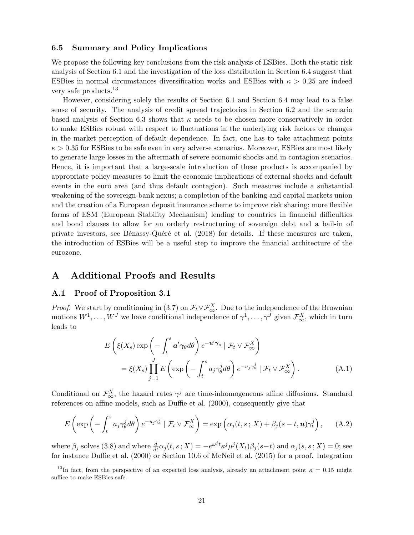#### 6.5 Summary and Policy Implications

We propose the following key conclusions from the risk analysis of ESBies. Both the static risk analysis of Section 6.1 and the investigation of the loss distribution in Section 6.4 suggest that ESBies in normal circumstances diversification works and ESBies with  $\kappa > 0.25$  are indeed very safe products.<sup>13</sup>

However, considering solely the results of Section 6.1 and Section 6.4 may lead to a false sense of security. The analysis of credit spread trajectories in Section 6.2 and the scenario based analysis of Section 6.3 shows that  $\kappa$  needs to be chosen more conservatively in order to make ESBies robust with respect to fluctuations in the underlying risk factors or changes in the market perception of default dependence. In fact, one has to take attachment points  $\kappa > 0.35$  for ESBies to be safe even in very adverse scenarios. Moreover, ESBies are most likely to generate large losses in the aftermath of severe economic shocks and in contagion scenarios. Hence, it is important that a large-scale introduction of these products is accompanied by appropriate policy measures to limit the economic implications of external shocks and default events in the euro area (and thus default contagion). Such measures include a substantial weakening of the sovereign-bank nexus; a completion of the banking and capital markets union and the creation of a European deposit insurance scheme to improve risk sharing; more flexible forms of ESM (European Stability Mechanism) lending to countries in financial difficulties and bond clauses to allow for an orderly restructuring of sovereign debt and a bail-in of private investors, see Bénassy-Quéré et al. (2018) for details. If these measures are taken, the introduction of ESBies will be a useful step to improve the financial architecture of the eurozone.

## A Additional Proofs and Results

#### A.1 Proof of Proposition 3.1

*Proof.* We start by conditioning in (3.7) on  $\mathcal{F}_t \vee \mathcal{F}_{\infty}^X$ . Due to the independence of the Brownian motions  $W^1, \ldots, W^J$  we have conditional independence of  $\gamma^1, \ldots, \gamma^J$  given  $\mathcal{F}_{\infty}^X$ , which in turn leads to

$$
E\left(\xi(X_s)\exp\left(-\int_t^s \mathbf{a}'\gamma_\theta d\theta\right)e^{-\mathbf{u}'\gamma_s} | \mathcal{F}_t \vee \mathcal{F}_\infty^X\right)
$$
  
=  $\xi(X_s)\prod_{j=1}^J E\left(\exp\left(-\int_t^s a_j \gamma_\theta^j d\theta\right)e^{-u_j \gamma_s^j} | \mathcal{F}_t \vee \mathcal{F}_\infty^X\right).$  (A.1)

Conditional on  $\mathcal{F}_{\infty}^X$ , the hazard rates  $\gamma^j$  are time-inhomogeneous affine diffusions. Standard references on affine models, such as Duffie et al. (2000), consequently give that

$$
E\left(\exp\left(-\int_t^s a_j \gamma_\theta^j d\theta\right) e^{-u_j \gamma_s^j} \mid \mathcal{F}_t \vee \mathcal{F}_\infty^X\right) = \exp\left(\alpha_j(t, s; X) + \beta_j(s - t, \mathbf{u}) \gamma_t^j\right), \quad (A.2)
$$

where  $\beta_j$  solves (3.8) and where  $\frac{d}{dt}\alpha_j(t, s; X) = -e^{\omega^j t} \kappa^j \mu^j(X_t) \beta_j(s-t)$  and  $\alpha_j(s, s; X) = 0$ ; see for instance Duffie et al. (2000) or Section 10.6 of McNeil et al. (2015) for a proof. Integration

<sup>&</sup>lt;sup>13</sup>In fact, from the perspective of an expected loss analysis, already an attachment point  $\kappa = 0.15$  might suffice to make ESBies safe.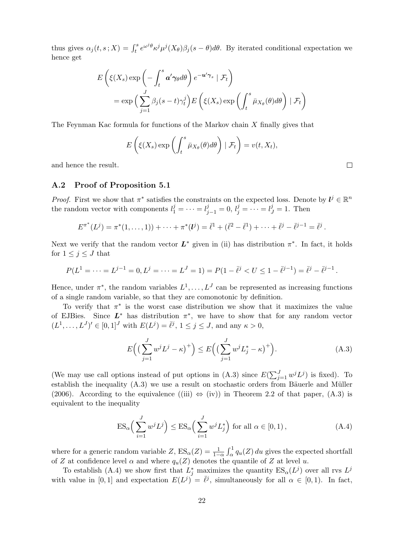thus gives  $\alpha_j(t,s;X) = \int_t^s e^{\omega^j\theta} \kappa^j \mu^j(X_{\theta}) \beta_j(s-\theta) d\theta$ . By iterated conditional expectation we hence get

$$
E\left(\xi(X_s)\exp\left(-\int_t^s \mathbf{a}'\gamma_{\theta}d\theta\right)e^{-\mathbf{u}'\gamma_s} | \mathcal{F}_t\right)
$$
  
=  $\exp\left(\sum_{j=1}^J \beta_j(s-t)\gamma_t^j\right)E\left(\xi(X_s)\exp\left(\int_t^s \bar{\mu}_{X_{\theta}}(\theta)d\theta\right) | \mathcal{F}_t\right)$ 

The Feynman Kac formula for functions of the Markov chain X finally gives that

$$
E\left(\xi(X_s)\exp\left(\int_t^s \bar{\mu}_{X_{\theta}}(\theta)d\theta\right) | \mathcal{F}_t\right) = v(t, X_t),
$$

and hence the result.

#### A.2 Proof of Proposition 5.1

*Proof.* First we show that  $\pi^*$  satisfies the constraints on the expected loss. Denote by  $l^j \in \mathbb{R}^n$ the random vector with components  $l_1^j = \cdots = l_{j-1}^j = 0, l_j^j = \cdots = l_J^j = 1$ . Then

$$
E^{\pi^*}(L^j) = \pi^*(1,\ldots,1)) + \cdots + \pi^*(l^j) = \bar{l}^1 + (\bar{l}^2 - \bar{l}^1) + \cdots + \bar{l}^j - \bar{l}^{j-1} = \bar{l}^j.
$$

Next we verify that the random vector  $L^*$  given in (ii) has distribution  $\pi^*$ . In fact, it holds for  $1 \leq j \leq J$  that

$$
P(L^1 = \dots = L^{j-1} = 0, L^j = \dots = L^J = 1) = P(1 - \overline{\ell}^j < U \le 1 - \overline{\ell}^{j-1}) = \overline{\ell}^j - \overline{\ell}^{j-1}.
$$

Hence, under  $\pi^*$ , the random variables  $L^1, \ldots, L^J$  can be represented as increasing functions of a single random variable, so that they are comonotonic by definition.

To verify that  $\pi^*$  is the worst case distribution we show that it maximizes the value of EJBies. Since  $L^*$  has distribution  $\pi^*$ , we have to show that for any random vector  $(L^1, ..., L^J)' \in [0, 1]^J$  with  $E(L^j) = \overline{\ell}^j$ ,  $1 \le j \le J$ , and any  $\kappa > 0$ ,

$$
E\left(\left(\sum_{j=1}^{J} w^{j} L^{j} - \kappa\right)^{+}\right) \le E\left(\left(\sum_{j=1}^{J} w^{j} L_{j}^{*} - \kappa\right)^{+}\right). \tag{A.3}
$$

(We may use call options instead of put options in (A.3) since  $E(\sum_{j=1}^{J} w^{j} L^{j})$  is fixed). To establish the inequality  $(A.3)$  we use a result on stochastic orders from Bäuerle and Müller (2006). According to the equivalence ((iii)  $\Leftrightarrow$  (iv)) in Theorem 2.2 of that paper, (A.3) is equivalent to the inequality

$$
ES_{\alpha}\left(\sum_{i=1}^{J} w^{j} L^{j}\right) \leq ES_{\alpha}\left(\sum_{i=1}^{J} w^{j} L_{j}^{*}\right) \text{ for all } \alpha \in [0, 1), \tag{A.4}
$$

where for a generic random variable  $Z$ ,  $ES_{\alpha}(Z) = \frac{1}{1-\alpha} \int_{\alpha}^{1} q_u(Z) du$  gives the expected shortfall of Z at confidence level  $\alpha$  and where  $q_u(Z)$  denotes the quantile of Z at level u.

To establish (A.4) we show first that  $L_j^*$  maximizes the quantity  $ES_\alpha(L^j)$  over all rvs  $L^j$ with value in [0, 1] and expectation  $E(L^{j}) = \overline{\ell}^{j}$ , simultaneously for all  $\alpha \in [0, 1)$ . In fact,

 $\Box$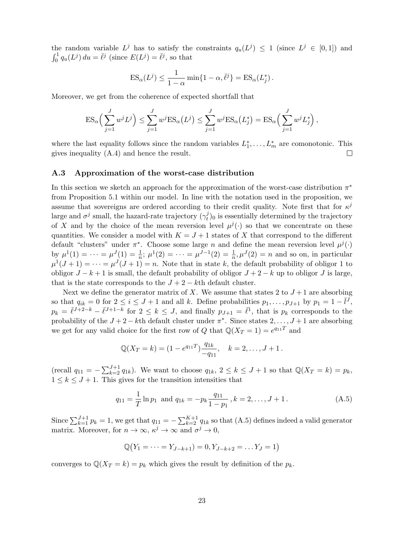the random variable  $L^j$  has to satisfy the constraints  $q_u(L^j) \leq 1$  (since  $L^j \in [0,1]$ ) and  $\int_0^1 q_u(L^j) du = \overline{\ell}^j$  (since  $E(L^j) = \overline{\ell}^j$ , so that

$$
ES_{\alpha}(L^{j}) \leq \frac{1}{1-\alpha} \min\{1-\alpha, \overline{\ell}^{j}\} = ES_{\alpha}(L_{j}^{*}).
$$

Moreover, we get from the coherence of expected shortfall that

$$
ES_{\alpha}\left(\sum_{j=1}^{J} w^{j} L^{j}\right) \leq \sum_{j=1}^{J} w^{j} ES_{\alpha}(L^{j}) \leq \sum_{j=1}^{J} w^{j} ES_{\alpha}(L_{j}^{*}) = ES_{\alpha}\left(\sum_{j=1}^{J} w^{j} L_{j}^{*}\right),
$$

where the last equality follows since the random variables  $L_1^*, \ldots, L_m^*$  are comonotonic. This gives inequality (A.4) and hence the result.  $\Box$ 

#### A.3 Approximation of the worst-case distribution

In this section we sketch an approach for the approximation of the worst-case distribution  $\pi^*$ from Proposition 5.1 within our model. In line with the notation used in the proposition, we assume that sovereigns are ordered according to their credit quality. Note first that for  $\kappa^j$ large and  $\sigma^j$  small, the hazard-rate trajectory  $(\gamma_t^j)$  $_{t}^{j}$ <sub>0</sub> is essentially determined by the trajectory of X and by the choice of the mean reversion level  $\mu^{j}(\cdot)$  so that we concentrate on these quantities. We consider a model with  $K = J + 1$  states of X that correspond to the different default "clusters" under  $\pi^*$ . Choose some large n and define the mean reversion level  $\mu^j(\cdot)$ by  $\mu^1(1) = \cdots = \mu^J(1) = \frac{1}{n}; \mu^1(2) = \cdots = \mu^{J-1}(2) = \frac{1}{n}, \mu^J(2) = n$  and so on, in particular  $\mu^{1}(J+1) = \cdots = \mu^{J}(J+1) = n$ . Note that in state k, the default probability of obligor 1 to obligor  $J - k + 1$  is small, the default probability of obligor  $J + 2 - k$  up to obligor J is large, that is the state corresponds to the  $J + 2 - k$ th default cluster.

Next we define the generator matrix of X. We assume that states 2 to  $J+1$  are absorbing so that  $q_{ik} = 0$  for  $2 \leq i \leq J+1$  and all k. Define probabilities  $p_1, \ldots, p_{J+1}$  by  $p_1 = 1 - \overline{l}^J$ ,  $p_k = \overline{\ell}^{J+2-k} - \overline{\ell}^{J+1-k}$  for  $2 \leq k \leq J$ , and finally  $p_{J+1} = \overline{\ell}^1$ , that is  $p_k$  corresponds to the probability of the  $J + 2 - k$ <sup>th</sup> default cluster under  $\pi^*$ . Since states  $2, \ldots, J + 1$  are absorbing we get for any valid choice for the first row of Q that  $\mathbb{Q}(X_T = 1) = e^{q_{11}T}$  and

$$
\mathbb{Q}(X_T = k) = (1 - e^{q_{11}T}) \frac{q_{1k}}{-q_{11}}, \quad k = 2, \dots, J + 1.
$$

(recall  $q_{11} = -\sum_{k=2}^{J+1} q_{1k}$ ). We want to choose  $q_{1k}$ ,  $2 \le k \le J+1$  so that  $\mathbb{Q}(X_T = k) = p_k$ ,  $1 \leq k \leq J+1$ . This gives for the transition intensities that

$$
q_{11} = \frac{1}{T} \ln p_1
$$
 and  $q_{1k} = -p_k \frac{q_{11}}{1 - p_1}$ ,  $k = 2, ..., J + 1$ . (A.5)

Since  $\sum_{k=1}^{J+1} p_k = 1$ , we get that  $q_{11} = -\sum_{k=2}^{K+1} q_{1k}$  so that (A.5) defines indeed a valid generator matrix. Moreover, for  $n \to \infty$ ,  $\kappa^j \to \infty$  and  $\sigma^j \to 0$ ,

$$
\mathbb{Q}(Y_1 = \cdots = Y_{J-k+1}) = 0, Y_{J-k+2} = \dots Y_J = 1)
$$

converges to  $\mathbb{Q}(X_T = k) = p_k$  which gives the result by definition of the  $p_k$ .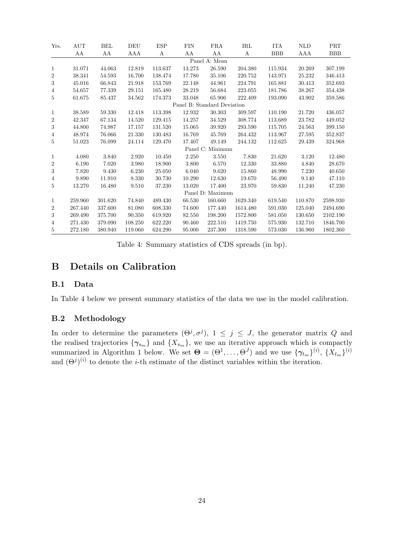| Yrs.             | AUT     | <b>BEL</b> | DEU     | <b>ESP</b> | <b>FIN</b> | <b>FRA</b>                  | IRL      | <b>ITA</b> | <b>NLD</b> | PRT        |
|------------------|---------|------------|---------|------------|------------|-----------------------------|----------|------------|------------|------------|
|                  | AA      | ΑA         | AAA     | А          | ΑA         | AA                          | А        | <b>BBB</b> | AAA        | <b>BBB</b> |
|                  |         |            |         |            |            | Panel A: Mean               |          |            |            |            |
| 1                | 31.071  | 44.063     | 12.819  | 113.637    | 13.273     | 26.590                      | 204.380  | 115.934    | 20.269     | 307.199    |
| $\overline{2}$   | 38.341  | 54.593     | 16.700  | 138.474    | 17.780     | 35.106                      | 220.752  | 143.971    | 25.232     | 346.413    |
| 3                | 45.016  | 66.843     | 21.918  | 153.769    | 22.148     | 44.961                      | 224.791  | 165.881    | 30.413     | 352.693    |
| $\overline{4}$   | 54.657  | 77.339     | 29.151  | 165.480    | 28.219     | 56.684                      | 223.055  | 181.786    | 38.267     | 354.438    |
| 5                | 61.675  | 85.437     | 34.562  | 174.373    | 33.048     | 65.906                      | 222.409  | 193.090    | 43.902     | 359.586    |
|                  |         |            |         |            |            | Panel B: Standard Deviation |          |            |            |            |
| 1                | 38.589  | 59.330     | 12.418  | 113.398    | 12.932     | 30.303                      | 309.597  | 110.190    | 21.720     | 436.057    |
| $\overline{2}$   | 42.347  | 67.134     | 14.520  | 129.415    | 14.257     | 34.529                      | 308.774  | 113.689    | 23.782     | 449.052    |
| $\boldsymbol{3}$ | 44.800  | 74.987     | 17.157  | 131.520    | 15.065     | 39.920                      | 293.590  | 115.705    | 24.563     | 399.150    |
| $\overline{4}$   | 48.974  | 76.066     | 21.330  | 130.483    | 16.769     | 45.769                      | 264.432  | 113.967    | 27.595     | 352.837    |
| 5                | 51.023  | 76.099     | 24.114  | 129.470    | 17.407     | 49.149                      | 244.132  | 112.625    | 29.439     | 324.968    |
|                  |         |            |         |            |            | Panel C: Minimum            |          |            |            |            |
| 1                | 4.080   | 3.840      | 2.920   | 10.450     | 2.250      | 3.550                       | 7.830    | 21.620     | 3.120      | 12.480     |
| $\boldsymbol{2}$ | 6.190   | 7.020      | 3.980   | 18.900     | 3.800      | 6.570                       | 12.330   | 33.880     | 4.840      | 28.670     |
| 3                | 7.820   | 9.430      | 6.230   | 25.050     | 6.040      | 9.620                       | 15.860   | 48.990     | 7.230      | 40.650     |
| 4                | 9.890   | 11.910     | 8.330   | 30.730     | 10.290     | 12.630                      | 19.670   | 56.490     | 9.140      | 47.110     |
| 5                | 13.270  | 16.480     | 9.510   | 37.230     | 13.020     | 17.400                      | 23.970   | 59.830     | 11.240     | 47.230     |
|                  |         |            |         |            |            | Panel D: Maximum            |          |            |            |            |
| 1                | 259.960 | 301.620    | 74.840  | 489.430    | 66.530     | 160.660                     | 1629.340 | 619.540    | 110.870    | 2598.930   |
| $\boldsymbol{2}$ | 267.440 | 337.600    | 81.080  | 608.330    | 74.600     | 177.440                     | 1614.480 | 591.030    | 125.040    | 2494.690   |
| 3                | 269.490 | 375.700    | 90.350  | 619.920    | 82.550     | 198.200                     | 1572.800 | 581.050    | 130.650    | 2102.190   |
| 4                | 271.430 | 379.090    | 108.250 | 622.220    | 90.460     | 222.510                     | 1419.750 | 575.930    | 132.710    | 1846.700   |
| 5                | 272.180 | 380.940    | 119.060 | 624.290    | 95.000     | 237.300                     | 1318.590 | 573.030    | 136.960    | 1802.360   |

Table 4: Summary statistics of CDS spreads (in bp).

# B Details on Calibration

## B.1 Data

In Table 4 below we present summary statistics of the data we use in the model calibration.

### B.2 Methodology

In order to determine the parameters  $(\Theta^j, \sigma^j)$ ,  $1 \leq j \leq J$ , the generator matrix Q and the realised trajectories  $\{\gamma_{s_m}\}\$  and  $\{X_{s_m}\}\$ , we use an iterative approach which is compactly summarized in Algorithm 1 below. We set  $\mathbf{\Theta} = (\Theta^1, \dots, \Theta^J)$  and we use  $\{\gamma_{t_m}\}^{(i)}, \{X_{t_m}\}^{(i)}$ and  $(\Theta^j)^{(i)}$  to denote the *i*-th estimate of the distinct variables within the iteration.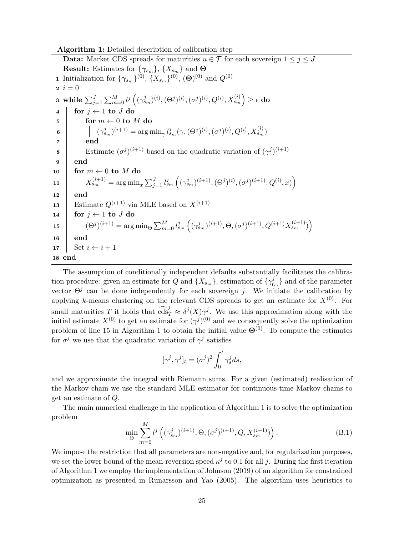#### Algorithm 1: Detailed description of calibration step

**Data:** Market CDS spreads for maturities  $u \in \mathcal{T}$  for each sovereign  $1 \leq j \leq J$ **Result:** Estimates for  $\{\gamma_{s_m}\}\$ ,  $\{X_{s_m}\}\$  and  $\Theta$ **1** Initialization for  $\{\gamma_{s_m}\}^{(0)}, \{X_{s_m}\}^{(0)}, (\Theta)^{(0)}$  and  $Q^{(0)}$  $2 \; i = 0$  $\texttt{3} \text{ while } \sum_{j=1}^{J} \sum_{m=0}^{M} l^{j}\left( (\gamma_{s_m}^{j})^{(i)}, (\Theta^{j})^{(i)}, (\sigma^{j})^{(i)}, Q^{(i)}, X_{s_m}^{(i)}\right) \geq \epsilon \textbf{ do}$  $4 \mid \text{for } j \leftarrow 1 \text{ to } J \text{ do}$  $\begin{array}{c|c} \texttt{5} & \texttt{for} \ m \leftarrow 0 \ \texttt{to} \ M \ \texttt{do} \end{array}$  $\mathfrak{g} \quad \Big| \quad \Big| \quad (\gamma^{j}_{s_m})^{(i+1)} = \mathop{\mathrm{arg\,min}}_{\gamma} l^{j}_{s_m}(\gamma, (\Theta^{j})^{(i)}, (\sigma^{j})^{(i)}, Q^{(i)}, X^{(i)}_{s_m})$  $7 \parallel$  end 8 Estimate  $(\sigma^j)^{(i+1)}$  based on the quadratic variation of  $(\gamma^j)^{(i+1)}$ 9 end 10 for  $m \leftarrow 0$  to M do  $\begin{array}{lll} \hbox{11} & & \left| & X_{s_m}^{(i+1)} = \arg \min_x \sum_{j=1}^J l_{s_m}^j \left( (\gamma_{s_m}^j)^{(i+1)}, (\Theta^j)^{(i)}, (\sigma^j)^{(i+1)}, Q^{(i)}, x ) \right) \right. \end{array}$  $12$ 13 Estimate  $Q^{(i+1)}$  via MLE based on  $X^{(i+1)}$ 14  $\vert$  for  $j \leftarrow 1$  to J do  $\begin{equation} \textbf{15} \end{equation} \begin{equation} \begin{bmatrix} (\Theta^j)^{(i+1)} = \arg \min_\Theta \sum_{m=0}^M l_{s_m}^j \left( (\gamma_{s_m}^j)^{(i+1)}, \Theta, (\sigma^j)^{(i+1)}, Q^{(i+1)}X_{s_m}^{(i+1)} \right) \end{bmatrix} \end{equation}$ 16 end 17 | Set  $i \leftarrow i + 1$ 18 end

The assumption of conditionally independent defaults substantially facilitates the calibration procedure: given an estimate for Q and  $\{X_{s_m}\}\$ , estimation of  $\{\gamma_t^j\}$  $_{t_m}^{j}$  and of the parameter vector  $\Theta^j$  can be done independently for each sovereign j. We initiate the calibration by applying k-means clustering on the relevant CDS spreads to get an estimate for  $X^{(0)}$ . For small maturities T it holds that  $\widehat{\text{cds}}_T^j \approx \delta^j(X)\gamma^j$ . We use this approximation along with the initial estimate  $X^{(0)}$  to get an estimate for  $(\gamma^j)^{(0)}$  and we consequently solve the optimization problem of line 15 in Algorithm 1 to obtain the initial value  $\mathbf{\Theta}^{(0)}$ . To compute the estimates for  $\sigma^j$  we use that the quadratic variation of  $\gamma^j$  satisfies

$$
[\gamma^j,\gamma^j]_t=(\sigma^j)^2\int_0^t\gamma^j_sds,
$$

and we approximate the integral with Riemann sums. For a given (estimated) realisation of the Markov chain we use the standard MLE estimator for continuous-time Markov chains to get an estimate of Q.

The main numerical challenge in the application of Algorithm 1 is to solve the optimization problem

$$
\min_{\Theta} \sum_{m=0}^{M} l^{j} \left( (\gamma_{s_{m}}^{j})^{(i+1)}, \Theta, (\sigma^{j})^{(i+1)}, Q, X_{s_{m}}^{(i+1)}) \right). \tag{B.1}
$$

We impose the restriction that all parameters are non-negative and, for regularization purposes, we set the lower bound of the mean-reversion speed  $\kappa^j$  to 0.1 for all j. During the first iteration of Algorithm 1 we employ the implementation of Johnson (2019) of an algorithm for constrained optimization as presented in Runarsson and Yao (2005). The algorithm uses heuristics to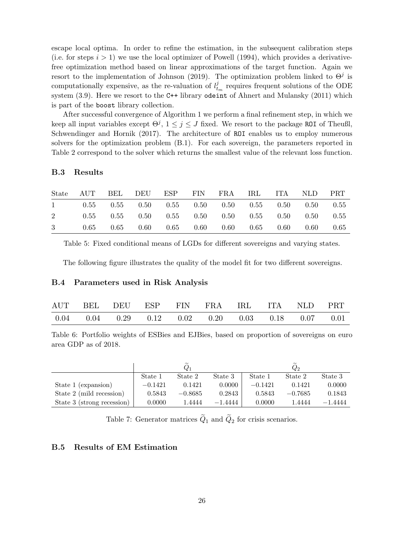escape local optima. In order to refine the estimation, in the subsequent calibration steps (i.e. for steps  $i > 1$ ) we use the local optimizer of Powell (1994), which provides a derivativefree optimization method based on linear approximations of the target function. Again we resort to the implementation of Johnson (2019). The optimization problem linked to  $\Theta^j$  is computationally expensive, as the re-valuation of  $l_t^j$  $t_m$  requires frequent solutions of the ODE system (3.9). Here we resort to the C++ library odeint of Ahnert and Mulansky (2011) which is part of the boost library collection.

After successful convergence of Algorithm 1 we perform a final refinement step, in which we keep all input variables except  $\Theta^j$ ,  $1 \leq j \leq J$  fixed. We resort to the package ROI of Theußl, Schwendinger and Hornik (2017). The architecture of ROI enables us to employ numerous solvers for the optimization problem (B.1). For each sovereign, the parameters reported in Table 2 correspond to the solver which returns the smallest value of the relevant loss function.

#### B.3 Results

|  | State AUT BEL DEU ESP FIN FRA IRL ITA NLD PRT                                       |  |  |  |  |
|--|-------------------------------------------------------------------------------------|--|--|--|--|
|  | $1$ 0.55 0.55 0.50 0.55 0.50 0.50 0.55 0.50 0.50 0.55                               |  |  |  |  |
|  | $2 \t 0.55 \t 0.55 \t 0.50 \t 0.55 \t 0.50 \t 0.50 \t 0.55 \t 0.50 \t 0.50 \t 0.55$ |  |  |  |  |
|  | $3 \t 0.65 \t 0.65 \t 0.60 \t 0.65 \t 0.60 \t 0.60 \t 0.65 \t 0.60 \t 0.60 \t 0.65$ |  |  |  |  |

Table 5: Fixed conditional means of LGDs for different sovereigns and varying states.

The following figure illustrates the quality of the model fit for two different sovereigns.

#### B.4 Parameters used in Risk Analysis

|  |  | AUT BEL DEU ESP FIN FRA IRL ITA NLD PRT                               |  |  |
|--|--|-----------------------------------------------------------------------|--|--|
|  |  | $0.04$ $0.04$ $0.29$ $0.12$ $0.02$ $0.20$ $0.03$ $0.18$ $0.07$ $0.01$ |  |  |

Table 6: Portfolio weights of ESBies and EJBies, based on proportion of sovereigns on euro area GDP as of 2018.

|                            |           | $\widetilde{\phantom{m}}$<br>$\,Q_1$ |           | $\tilde{\phantom{a}}$<br>$\,_{2}$ |           |           |  |
|----------------------------|-----------|--------------------------------------|-----------|-----------------------------------|-----------|-----------|--|
|                            | State 1   | State 2                              | State 3   | State 1                           | State 2   | State 3   |  |
| State 1 (expansion)        | $-0.1421$ | 0.1421                               | 0.0000    | $-0.1421$                         | 0.1421    | 0.0000    |  |
| State 2 (mild recession)   | 0.5843    | $-0.8685$                            | 0.2843    | 0.5843                            | $-0.7685$ | 0.1843    |  |
| State 3 (strong recession) | 0.0000    | 1.4444                               | $-1.4444$ | 0.0000                            | 1.4444    | $-1.4444$ |  |

Table 7: Generator matrices  $\tilde{Q}_1$  and  $\tilde{Q}_2$  for crisis scenarios.

#### B.5 Results of EM Estimation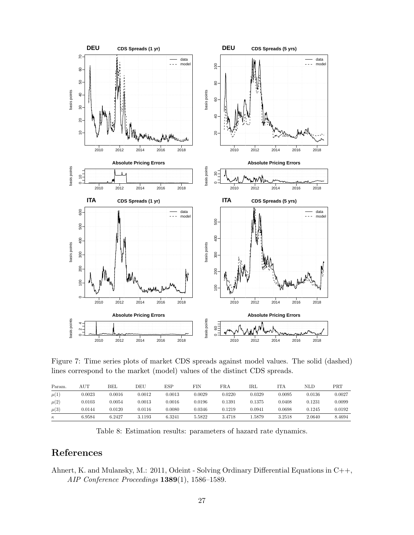

Figure 7: Time series plots of market CDS spreads against model values. The solid (dashed) lines correspond to the market (model) values of the distinct CDS spreads.

| Param.   | $_{\rm AUT}$ | BEL    | DEU    | ESP    | FIN    | FRA    | IRL         | ITA    | NLD    | $\rm{PRT}$ |
|----------|--------------|--------|--------|--------|--------|--------|-------------|--------|--------|------------|
| $\mu(1)$ | 0.0023       | 0.0016 | 0.0012 | 0.0013 | 0.0029 | 0.0220 | 0.0329      | 0.0095 | 0.0136 | 0.0027     |
| $\mu(2)$ | 0.0103       | 0.0054 | 0.0013 | 0.0016 | 0.0196 | 0.1391 | 0.1375      | 0.0408 | 0.1231 | 0.0099     |
| $\mu(3)$ | 0.0144       | 0.0120 | 0.0116 | 0.0080 | 0.0346 | 0.1219 | $_{0.0941}$ | 0.0698 | 0.1245 | 0.0192     |
| $\kappa$ | 6.9584       | 6.2427 | 3.1193 | 6.3241 | 5.5822 | 3.4718 | l.5879      | 3.2518 | 2.0640 | 8.4694     |

Table 8: Estimation results: parameters of hazard rate dynamics.

# References

Ahnert, K. and Mulansky, M.: 2011, Odeint - Solving Ordinary Differential Equations in C++, AIP Conference Proceedings 1389(1), 1586–1589.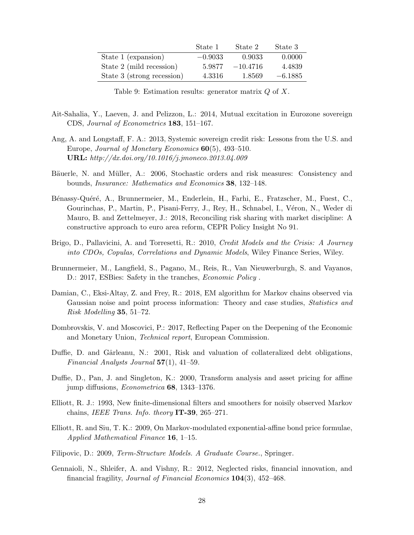|                            | State 1   | State 2    | State 3   |
|----------------------------|-----------|------------|-----------|
| State 1 (expansion)        | $-0.9033$ | 0.9033     | 0.0000    |
| State 2 (mild recession)   | 5.9877    | $-10.4716$ | 4.4839    |
| State 3 (strong recession) | 4.3316    | 1.8569     | $-6.1885$ |

Table 9: Estimation results: generator matrix  $Q$  of  $X$ .

- Ait-Sahalia, Y., Laeven, J. and Pelizzon, L.: 2014, Mutual excitation in Eurozone sovereign CDS, Journal of Econometrics 183, 151–167.
- Ang, A. and Longstaff, F. A.: 2013, Systemic sovereign credit risk: Lessons from the U.S. and Europe, Journal of Monetary Economics 60(5), 493–510. URL: http://dx.doi.org/10.1016/j.jmoneco.2013.04.009
- Bäuerle, N. and Müller, A.: 2006, Stochastic orders and risk measures: Consistency and bounds, Insurance: Mathematics and Economics 38, 132–148.
- Bénassy-Quéré, A., Brunnermeier, M., Enderlein, H., Farhi, E., Fratzscher, M., Fuest, C., Gourinchas, P., Martin, P., Pisani-Ferry, J., Rey, H., Schnabel, I., Véron, N., Weder di Mauro, B. and Zettelmeyer, J.: 2018, Reconciling risk sharing with market discipline: A constructive approach to euro area reform, CEPR Policy Insight No 91.
- Brigo, D., Pallavicini, A. and Torresetti, R.: 2010, Credit Models and the Crisis: A Journey into CDOs, Copulas, Correlations and Dynamic Models, Wiley Finance Series, Wiley.
- Brunnermeier, M., Langfield, S., Pagano, M., Reis, R., Van Nieuwerburgh, S. and Vayanos, D.: 2017, ESBies: Safety in the tranches, *Economic Policy*.
- Damian, C., Eksi-Altay, Z. and Frey, R.: 2018, EM algorithm for Markov chains observed via Gaussian noise and point process information: Theory and case studies, Statistics and Risk Modelling 35, 51–72.
- Dombrovskis, V. and Moscovici, P.: 2017, Reflecting Paper on the Deepening of the Economic and Monetary Union, Technical report, European Commission.
- Duffie, D. and Gârleanu, N.: 2001, Risk and valuation of collateralized debt obligations, Financial Analysts Journal  $57(1)$ , 41–59.
- Duffie, D., Pan, J. and Singleton, K.: 2000, Transform analysis and asset pricing for affine jump diffusions, Econometrica 68, 1343–1376.
- Elliott, R. J.: 1993, New finite-dimensional filters and smoothers for noisily observed Markov chains, IEEE Trans. Info. theory IT-39, 265–271.
- Elliott, R. and Siu, T. K.: 2009, On Markov-modulated exponential-affine bond price formulae, Applied Mathematical Finance 16, 1–15.
- Filipovic, D.: 2009, Term-Structure Models. A Graduate Course., Springer.
- Gennaioli, N., Shleifer, A. and Vishny, R.: 2012, Neglected risks, financial innovation, and financial fragility, Journal of Financial Economics 104(3), 452–468.